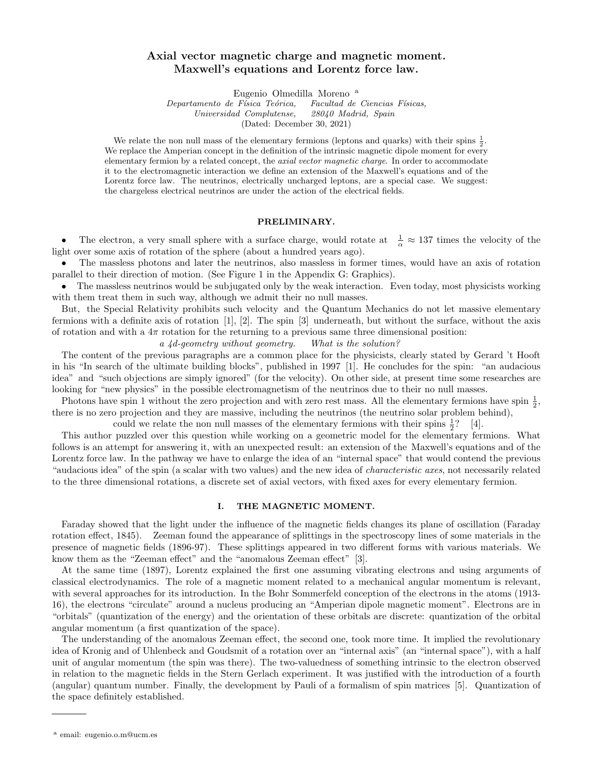# Axial vector magnetic charge and magnetic moment. Maxwell's equations and Lorentz force law.

Eugenio Olmedilla Moreno <sup>a</sup>

Departamento de Física Teórica, Facultad de Ciencias Físicas, Universidad Complutense, 28040 Madrid, Spain (Dated: December 30, 2021)

We relate the non null mass of the elementary fermions (leptons and quarks) with their spins  $\frac{1}{2}$ . We replace the Amperian concept in the definition of the intrinsic magnetic dipole moment for every elementary fermion by a related concept, the axial vector magnetic charge. In order to accommodate it to the electromagnetic interaction we define an extension of the Maxwell's equations and of the Lorentz force law. The neutrinos, electrically uncharged leptons, are a special case. We suggest: the chargeless electrical neutrinos are under the action of the electrical fields.

#### PRELIMINARY.

• The electron, a very small sphere with a surface charge, would rotate at  $\frac{1}{\alpha} \approx 137$  times the velocity of the light over some axis of rotation of the sphere (about a hundred years ago).

• The massless photons and later the neutrinos, also massless in former times, would have an axis of rotation parallel to their direction of motion. (See Figure 1 in the Appendix G: Graphics).

• The massless neutrinos would be subjugated only by the weak interaction. Even today, most physicists working with them treat them in such way, although we admit their no null masses.

But, the Special Relativity prohibits such velocity and the Quantum Mechanics do not let massive elementary fermions with a definite axis of rotation [1], [2]. The spin [3] underneath, but without the surface, without the axis of rotation and with a  $4\pi$  rotation for the returning to a previous same three dimensional position:

a 4d-geometry without geometry. What is the solution?

The content of the previous paragraphs are a common place for the physicists, clearly stated by Gerard 't Hooft in his "In search of the ultimate building blocks", published in 1997 [1]. He concludes for the spin: "an audacious idea" and "such objections are simply ignored" (for the velocity). On other side, at present time some researches are looking for "new physics" in the possible electromagnetism of the neutrinos due to their no null masses.

Photons have spin 1 without the zero projection and with zero rest mass. All the elementary fermions have spin  $\frac{1}{2}$ , there is no zero projection and they are massive, including the neutrinos (the neutrino solar problem behind),

could we relate the non null masses of the elementary fermions with their spins  $\frac{1}{2}$ ? [4]. This author puzzled over this question while working on a geometric model for the elementary fermions. What follows is an attempt for answering it, with an unexpected result: an extension of the Maxwell's equations and of the Lorentz force law. In the pathway we have to enlarge the idea of an "internal space" that would contend the previous "audacious idea" of the spin (a scalar with two values) and the new idea of *characteristic axes*, not necessarily related to the three dimensional rotations, a discrete set of axial vectors, with fixed axes for every elementary fermion.

# I. THE MAGNETIC MOMENT.

Faraday showed that the light under the influence of the magnetic fields changes its plane of oscillation (Faraday rotation effect, 1845). Zeeman found the appearance of splittings in the spectroscopy lines of some materials in the presence of magnetic fields (1896-97). These splittings appeared in two different forms with various materials. We know them as the "Zeeman effect" and the "anomalous Zeeman effect" [3].

At the same time (1897), Lorentz explained the first one assuming vibrating electrons and using arguments of classical electrodynamics. The role of a magnetic moment related to a mechanical angular momentum is relevant, with several approaches for its introduction. In the Bohr Sommerfeld conception of the electrons in the atoms (1913- 16), the electrons "circulate" around a nucleus producing an "Amperian dipole magnetic moment". Electrons are in "orbitals" (quantization of the energy) and the orientation of these orbitals are discrete: quantization of the orbital angular momentum (a first quantization of the space).

The understanding of the anomalous Zeeman effect, the second one, took more time. It implied the revolutionary idea of Kronig and of Uhlenbeck and Goudsmit of a rotation over an "internal axis" (an "internal space"), with a half unit of angular momentum (the spin was there). The two-valuedness of something intrinsic to the electron observed in relation to the magnetic fields in the Stern Gerlach experiment. It was justified with the introduction of a fourth (angular) quantum number. Finally, the development by Pauli of a formalism of spin matrices [5]. Quantization of the space definitely established.

<sup>a</sup> email: eugenio.o.m@ucm.es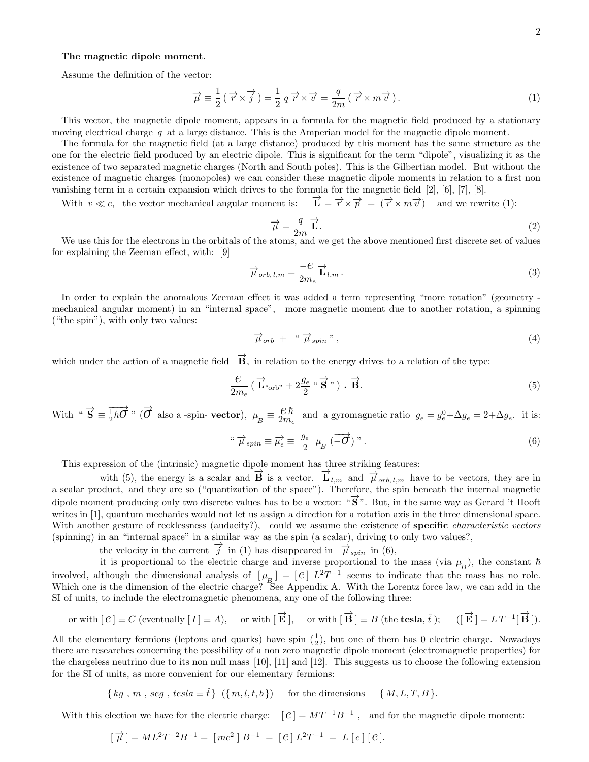# The magnetic dipole moment.

Assume the definition of the vector:

$$
\overrightarrow{\mu} \equiv \frac{1}{2} (\overrightarrow{r} \times \overrightarrow{j}) = \frac{1}{2} q \overrightarrow{r} \times \overrightarrow{v} = \frac{q}{2m} (\overrightarrow{r} \times m \overrightarrow{v}). \tag{1}
$$

This vector, the magnetic dipole moment, appears in a formula for the magnetic field produced by a stationary moving electrical charge  $q$  at a large distance. This is the Amperian model for the magnetic dipole moment.

The formula for the magnetic field (at a large distance) produced by this moment has the same structure as the one for the electric field produced by an electric dipole. This is significant for the term "dipole", visualizing it as the existence of two separated magnetic charges (North and South poles). This is the Gilbertian model. But without the existence of magnetic charges (monopoles) we can consider these magnetic dipole moments in relation to a first non vanishing term in a certain expansion which drives to the formula for the magnetic field [2], [6], [7], [8].

With  $v \ll c$ , the vector mechanical angular moment is:  $\overrightarrow{r} \times \overrightarrow{p} = (\overrightarrow{r} \times m\overrightarrow{v})$  and we rewrite (1):

$$
\overrightarrow{\mu} = \frac{q}{2m} \overrightarrow{\mathbf{L}}.
$$
\n(2)

We use this for the electrons in the orbitals of the atoms, and we get the above mentioned first discrete set of values for explaining the Zeeman effect, with: [9]

$$
\overrightarrow{\mu}_{orb,l,m} = \frac{-e}{2m_e} \overrightarrow{\mathbf{L}}_{l,m} .
$$
\n(3)

In order to explain the anomalous Zeeman effect it was added a term representing "more rotation" (geometry mechanical angular moment) in an "internal space", more magnetic moment due to another rotation, a spinning ("the spin"), with only two values:

$$
\vec{\mu}_{orb} + \text{`` } \vec{\mu}_{spin} \text{''}, \qquad (4)
$$

which under the action of a magnetic field  $\vec{B}$ , in relation to the energy drives to a relation of the type:

$$
\frac{e}{2m_e} \left( \overrightarrow{\mathbf{L}}_{\text{corb"}} + 2\frac{g_e}{2} \cdot \overrightarrow{\mathbf{S}}^{\prime\prime} \right) \cdot \overrightarrow{\mathbf{B}}.\tag{5}
$$

With " $\overrightarrow{S} = \frac{1}{2}\hbar \overrightarrow{O}$ " ( $\overrightarrow{O}$  also a -spin- vector),  $\mu_B = \frac{e \hbar}{2m_e}$  $\frac{e_h}{2m_e}$  and a gyromagnetic ratio  $g_e = g_e^0 + \Delta g_e = 2 + \Delta g_e$ . it is:

$$
\sqrt{\mu}_{spin} \equiv \overrightarrow{\mu_e} \equiv \frac{g_e}{2} \mu_B \left( \overrightarrow{-\mathcal{O}} \right)^{\gamma} . \tag{6}
$$

This expression of the (intrinsic) magnetic dipole moment has three striking features:

with (5), the energy is a scalar and  $\overrightarrow{B}$  is a vector.  $\overrightarrow{L}_{l,m}$  and  $\overrightarrow{\mu}_{orb,l,m}$  have to be vectors, they are in a scalar product, and they are so ("quantization of the space"). Therefore, the spin beneath the internal magnetic dipole moment producing only two discrete values has to be a vector: " $\overline{S}$ ". But, in the same way as Gerard 't Hooft writes in [1], quantum mechanics would not let us assign a direction for a rotation axis in the three dimensional space. With another gesture of recklessness (audacity?), could we assume the existence of **specific** *characteristic vectors* (spinning) in an "internal space" in a similar way as the spin (a scalar), driving to only two values?,

the velocity in the current  $\overrightarrow{j}$  in (1) has disappeared in  $\overrightarrow{\mu}_{spin}$  in (6),

it is proportional to the electric charge and inverse proportional to the mass (via  $\mu_B$ ), the constant  $\hbar$ involved, although the dimensional analysis of  $[\mu_B] = [\ell] L^2 T^{-1}$  seems to indicate that the mass has no role. Which one is the dimension of the electric charge? See Appendix A. With the Lorentz force law, we can add in the SI of units, to include the electromagnetic phenomena, any one of the following three:

or with 
$$
[e] \equiv C
$$
 (eventually  $[I] \equiv A$ ), or with  $[\vec{E}]$ , or with  $[\vec{B}] \equiv B$  (the **tesla**,  $\hat{t}$ );  $([\vec{E}] = LT^{-1}[\vec{B}])$ .

All the elementary fermions (leptons and quarks) have spin  $(\frac{1}{2})$ , but one of them has 0 electric charge. Nowadays there are researches concerning the possibility of a non zero magnetic dipole moment (electromagnetic properties) for the chargeless neutrino due to its non null mass [10], [11] and [12]. This suggests us to choose the following extension for the SI of units, as more convenient for our elementary fermions:

 $\{ kg, m, seg, tesla \equiv \hat{t} \} (\{ m, l, t, b \})$  for the dimensions  $\{ M, L, T, B \}.$ 

With this election we have for the electric charge:  $[e] = MT^{-1}B^{-1}$ , and for the magnetic dipole moment:

$$
[\vec{\mu}] = ML^2T^{-2}B^{-1} = [mc^2]B^{-1} = [e]L^2T^{-1} = L[c][e].
$$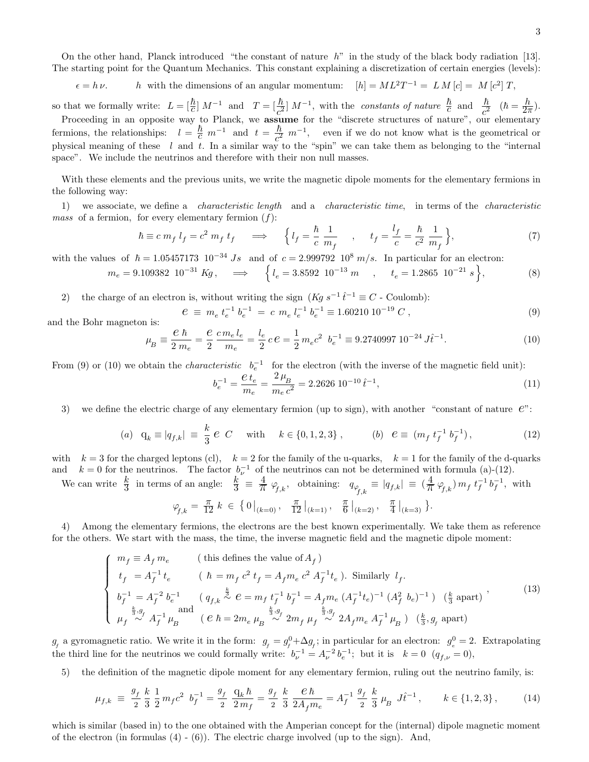On the other hand, Planck introduced "the constant of nature  $h$ " in the study of the black body radiation [13]. The starting point for the Quantum Mechanics. This constant explaining a discretization of certain energies (levels):

 $\epsilon = h \nu$ . *h* with the dimensions of an angular momentum:  $[h] = ML^2T^{-1} = LM[c] = M[c^2]T$ ,

so that we formally write:  $L = \left[\frac{\hbar}{c}\right] M^{-1}$  and  $T = \left[\frac{\hbar}{c^2}\right] M^{-1}$ , with the constants of nature  $\frac{\hbar}{c}$  and  $\frac{\hbar}{c^2}$   $(\hbar = \frac{\hbar}{2\tau})$  $\frac{n}{2\pi}$ ). Proceeding in an opposite way to Planck, we assume for the "discrete structures of nature", our elementary

fermions, the relationships:  $l = \frac{\hbar}{c} m^{-1}$  and  $t = \frac{\hbar}{c^2}$  $\frac{\hbar}{c^2}$  m<sup>-1</sup>, even if we do not know what is the geometrical or physical meaning of these  $l$  and  $t$ . In a similar way to the "spin" we can take them as belonging to the "internal space". We include the neutrinos and therefore with their non null masses.

With these elements and the previous units, we write the magnetic dipole moments for the elementary fermions in the following way:

1) we associate, we define a *characteristic length* and a *characteristic time*, in terms of the *characteristic mass* of a fermion, for every elementary fermion  $(f)$ :

$$
\hbar \equiv c \; m_f \; l_f = c^2 \; m_f \; t_f \quad \Longrightarrow \quad \left\{ l_f = \frac{\hbar}{c} \; \frac{1}{m_f} \quad , \quad t_f = \frac{l_f}{c} = \frac{\hbar}{c^2} \; \frac{1}{m_f} \right\},\tag{7}
$$

with the values of  $\hbar = 1.05457173 \cdot 10^{-34}$  Js and of  $c = 2.999792 \cdot 10^8$  m/s. In particular for an electron:

$$
m_e = 9.109382 \ 10^{-31} \ Kg \,, \quad \implies \quad \left\{ l_e = 3.8592 \ 10^{-13} \ m \ , \quad t_e = 1.2865 \ 10^{-21} \ s \right\}, \tag{8}
$$

2) the charge of an electron is, without writing the sign  $(Kg s^{-1} \hat{t}^{-1} \equiv C$  - Coulomb):

$$
e \equiv m_e t_e^{-1} b_e^{-1} = c m_e l_e^{-1} b_e^{-1} \equiv 1.60210 10^{-19} C , \qquad (9)
$$

and the Bohr magneton is:

$$
\mu_B \equiv \frac{e \hbar}{2 m_e} = \frac{e}{2} \frac{c m_e l_e}{m_e} = \frac{l_e}{2} c e = \frac{1}{2} m_e c^2 \ \ b_e^{-1} \equiv 9.2740997 \ 10^{-24} \ J \hat{t}^{-1}.
$$
\n
$$
\tag{10}
$$

From (9) or (10) we obtain the *characteristic*  $b_e^{-1}$  for the electron (with the inverse of the magnetic field unit):

$$
b_e^{-1} = \frac{\mathcal{C}t_e}{m_e} = \frac{2\,\mu_B}{m_e\,c^2} = 2.2626\,10^{-10}\,\hat{t}^{-1},\tag{11}
$$

3) we define the electric charge of any elementary fermion (up to sign), with another "constant of nature  $e$ ":

(a) 
$$
q_k \equiv |q_{f,k}| \equiv \frac{k}{3} e C
$$
 with  $k \in \{0, 1, 2, 3\}$ ,   
 (b)  $e \equiv (m_f t_f^{-1} b_f^{-1}),$  (12)

with  $k = 3$  for the charged leptons (cl),  $k = 2$  for the family of the u-quarks,  $k = 1$  for the family of the d-quarks and  $k = 0$  for the neutrinos. The factor  $b_{\nu}^{-1}$  of the neutrinos can not be determined with formula (a)-(12).

We can write  $\frac{k}{3}$  in terms of an angle:  $\frac{k}{3} = \frac{4}{\pi} \varphi_{f,k}$ , obtaining:  $q_{\varphi_{f,k}} \equiv |q_{f,k}| \equiv (\frac{4}{\pi} \varphi_{f,k}) m_f t_f^{-1} b_f^{-1}$ , with

$$
\varphi_{\!\!f,k}\,=\,\frac{\pi}{12}\;k\;\in\;\big\{\,0\,\big|_{(k=0)}\,,\quad \frac{\pi}{12}\,\big|_{(k=1)}\,,\quad \frac{\pi}{6}\,\big|_{(k=2)}\,,\quad \frac{\pi}{4}\,\big|_{(k=3)}\,\big\}.
$$

4) Among the elementary fermions, the electrons are the best known experimentally. We take them as reference for the others. We start with the mass, the time, the inverse magnetic field and the magnetic dipole moment:

$$
\left\{ \begin{array}{ll} m_f \equiv A_f \, m_e & \mbox{(this defines the value of } A_f) \\[0.2cm] t_f \; = A_f^{-1} \, t_e & \mbox{(} \quad \hbar = m_f \, c^2 \, t_f = A_f m_e \, c^2 \, A_f^{-1} t_e \mbox{)}. \end{array} \right. \\ \mbox{Similarly} \quad l_f. \\[0.2cm] b_f^{-1} \equiv A_f^{-2} \, b_e^{-1} & \mbox{(} \quad q_{f,k} \stackrel{\frac{k}{2}}{\sim} e = m_f \, t_f^{-1} \, b_f^{-1} = A_f m_e \, (A_f^{-1} t_e)^{-1} \, (A_f^2 \, b_e)^{-1} \mbox{)} \quad \mbox{($$\frac{k}{3}$ apart)} \\[0.2cm] \mu_f \stackrel{\frac{k}{2}, g_f}{\sim} A_f^{-1} \, \mu_B & \mbox{(} \quad e \, \hbar = 2 m_e \, \mu_B \stackrel{\frac{k}{2}, g_f}{\sim} 2 m_f \, \mu_f \stackrel{\frac{k}{2}, g_f}{\sim} 2 A_f m_e \, A_f^{-1} \, \mu_B \mbox{)} \quad \mbox{($\frac{k}{3}$}, g_f \mbox{ apart)} \end{array} \tag{13}
$$

 $g_f$  a gyromagnetic ratio. We write it in the form:  $g_f = g_f^0 + \Delta g_f$ ; in particular for an electron:  $g_e^0 = 2$ . Extrapolating the third line for the neutrinos we could formally write:  $b_{\nu}^{-1} = A_{\nu}^{-2} b_e^{-1}$ ; but it is  $k = 0$   $(q_{f,\nu} = 0)$ ,

5) the definition of the magnetic dipole moment for any elementary fermion, ruling out the neutrino family, is:

$$
\mu_{f,k} \equiv \frac{g_f}{2} \frac{k}{3} \frac{1}{2} m_f c^2 \ b_f^{-1} = \frac{g_f}{2} \frac{q_k \hbar}{2 m_f} = \frac{g_f}{2} \frac{k}{3} \frac{e \hbar}{2 A_f m_e} = A_f^{-1} \frac{g_f}{2} \frac{k}{3} \mu_B J \hat{t}^{-1}, \qquad k \in \{1, 2, 3\},
$$
 (14)

which is similar (based in) to the one obtained with the Amperian concept for the (internal) dipole magnetic moment of the electron (in formulas  $(4) - (6)$ ). The electric charge involved (up to the sign). And,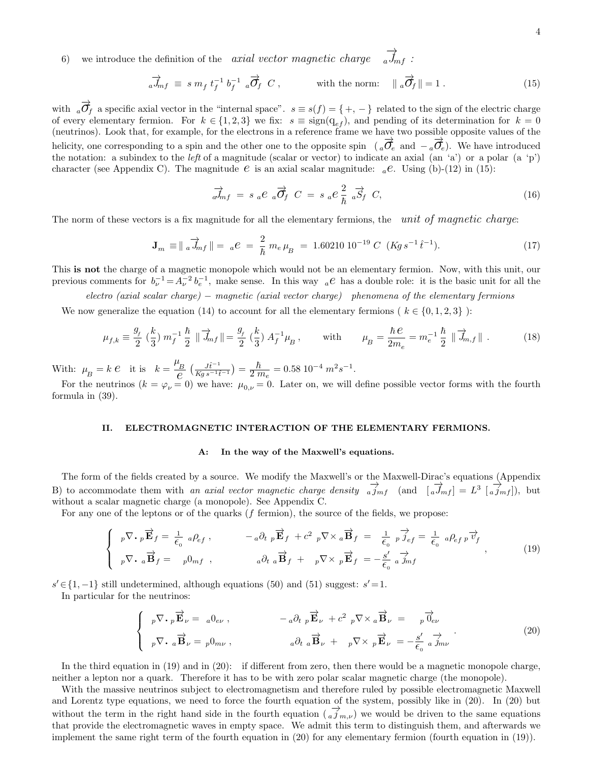6) we introduce the definition of the axial vector magnetic charge  $\overrightarrow{a\,m_{f}}$ :

$$
\overrightarrow{a} \overrightarrow{J}_{mf} \equiv s \; m_f \; t_f^{-1} \; b_f^{-1} \; a \overrightarrow{\mathcal{O}}_f \; C \;, \qquad \text{with the norm:} \quad \| \; a \overrightarrow{\mathcal{O}}_f \| = 1 \; . \tag{15}
$$

with  $\overrightarrow{a}$  a specific axial vector in the "internal space".  $s \equiv s(f) = \{ +, - \}$  related to the sign of the electric charge of every elementary fermion. For  $k \in \{1,2,3\}$  we fix:  $s \equiv \text{sign}(q_{ef})$ , and pending of its determination for  $k = 0$ (neutrinos). Look that, for example, for the electrons in a reference frame we have two possible opposite values of the helicity, one corresponding to a spin and the other one to the opposite spin  $(a\vec{\sigma}_e)$  and  $-a\vec{\sigma}_e$ ). We have introduced the notation: a subindex to the *left* of a magnitude (scalar or vector) to indicate an axial  $(an 'a')$  or a polar  $(a 'p')$ character (see Appendix C). The magnitude  $e$  is an axial scalar magnitude:  ${}_{a}e$ . Using (b)-(12) in (15):

$$
\overrightarrow{a}_{mf} = s_a e_a \overrightarrow{\sigma}_f C = s_a e_{\overrightarrow{h}}^2 a_{f} \overrightarrow{S}_f C,
$$
\n(16)

The norm of these vectors is a fix magnitude for all the elementary fermions, the unit of magnetic charge:

$$
\mathbf{J}_m \equiv || \; a \overrightarrow{J}_{mf} || = \; a \, e \; = \; \frac{2}{\hbar} \; m_e \, \mu_B \; = \; 1.60210 \; 10^{-19} \; C \; (Kg \, s^{-1} \, \hat{t}^{-1}). \tag{17}
$$

This is not the charge of a magnetic monopole which would not be an elementary fermion. Now, with this unit, our previous comments for  $b_{\nu}^{-1} = A_{\nu}^{-2} b_e^{-1}$ , make sense. In this way  ${}_{a}e$  has a double role: it is the basic unit for all the

electro (axial scalar charge) – magnetic (axial vector charge) phenomena of the elementary fermions

We now generalize the equation (14) to account for all the elementary fermions (  $k \in \{0, 1, 2, 3\}$  ):

$$
\mu_{f,k} \equiv \frac{g_f}{2} \left(\frac{k}{3}\right) m_f^{-1} \frac{\hbar}{2} \| \overrightarrow{J}_{mf} \| = \frac{g_f}{2} \left(\frac{k}{3}\right) A_f^{-1} \mu_B, \quad \text{with} \quad \mu_B = \frac{\hbar \, e}{2m_e} = m_e^{-1} \frac{\hbar}{2} \| \overrightarrow{J}_{m,f} \| . \tag{18}
$$

With:  $\mu_B = k \cdot e$  it is  $k = \frac{\mu_B}{e} \left( \frac{J \hat{t}^{-1}}{K g s^{-1} \hat{t}} \right)$  $\frac{J\hat{t}^{-1}}{Kgs^{-1}\hat{t}^{-1}}$ ) =  $\frac{\hbar}{2\pi}$  $\frac{h}{2 m_e} = 0.58 \ 10^{-4} \ m^2 s^{-1}.$ 

For the neutrinos  $(k = \varphi_{\nu} = 0)$  we have:  $\mu_{0,\nu} = 0$ . Later on, we will define possible vector forms with the fourth formula in (39).

# II. ELECTROMAGNETIC INTERACTION OF THE ELEMENTARY FERMIONS.

#### A: In the way of the Maxwell's equations.

The form of the fields created by a source. We modify the Maxwell's or the Maxwell-Dirac's equations (Appendix B) to accommodate them with an axial vector magnetic charge density  $\frac{1}{a}j_{mf}$  (and  $[\frac{1}{a}j_{mf}] = L^3 [\frac{1}{a}j_{mf}]$ ), but without a scalar magnetic charge (a monopole). See Appendix C.

For any one of the leptons or of the quarks (f fermion), the source of the fields, we propose:

$$
\begin{cases}\n p \nabla \cdot p \vec{\mathbf{E}}_f = \frac{1}{\epsilon_0} a \rho_{ef} , & -a \partial_t p \vec{\mathbf{E}}_f + c^2 p \nabla \times a \vec{\mathbf{B}}_f = \frac{1}{\epsilon_0} p \vec{\jmath}_{ef} = \frac{1}{\epsilon_0} a \rho_{ef} p \vec{\mathbf{v}}_f \\
 p \nabla \cdot a \vec{\mathbf{B}}_f = p0_{mf} , & a \partial_t a \vec{\mathbf{B}}_f + p \nabla \times p \vec{\mathbf{E}}_f = -\frac{s'}{\epsilon_0} a \vec{\jmath}_{mf} ,\n\end{cases} (19)
$$

 $s' \in \{1, -1\}$  still undetermined, although equations (50) and (51) suggest:  $s' = 1$ .

In particular for the neutrinos:

$$
\begin{cases}\n p \nabla \cdot p \overrightarrow{\mathbf{E}}_{\nu} = a 0_{e\nu}, & -a \partial_{t} p \overrightarrow{\mathbf{E}}_{\nu} + c^{2} p \nabla \times a \overrightarrow{\mathbf{B}}_{\nu} = p \overrightarrow{0}_{e\nu} \\
 p \nabla \cdot a \overrightarrow{\mathbf{B}}_{\nu} = p 0_{m\nu}, & a \partial_{t} a \overrightarrow{\mathbf{B}}_{\nu} + p \nabla \times p \overrightarrow{\mathbf{E}}_{\nu} = -\frac{s'}{\epsilon_{0}} a \overrightarrow{J}_{m\nu}\n\end{cases}
$$
\n(20)

In the third equation in (19) and in (20): if different from zero, then there would be a magnetic monopole charge, neither a lepton nor a quark. Therefore it has to be with zero polar scalar magnetic charge (the monopole).

With the massive neutrinos subject to electromagnetism and therefore ruled by possible electromagnetic Maxwell and Lorentz type equations, we need to force the fourth equation of the system, possibly like in (20). In (20) but without the term in the right hand side in the fourth equation  $\frac{1}{a} j_{m,\nu}$  we would be driven to the same equations that provide the electromagnetic waves in empty space. We admit this term to distinguish them, and afterwards we implement the same right term of the fourth equation in (20) for any elementary fermion (fourth equation in (19)).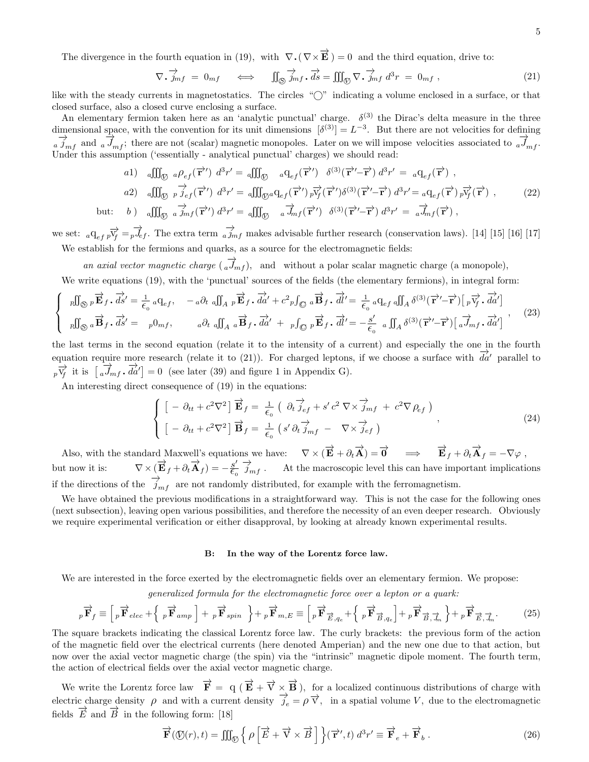The divergence in the fourth equation in (19), with  $\nabla \cdot (\nabla \times \vec{E}) = 0$  and the third equation, drive to:

$$
\nabla \cdot \overrightarrow{j}_{mf} = 0_{mf} \iff \int_{\mathbb{S}} \overrightarrow{j}_{mf} \cdot \overrightarrow{ds} = \iiint_{\mathbb{S}} \nabla \cdot \overrightarrow{j}_{mf} d^3r = 0_{mf}, \qquad (21)
$$

like with the steady currents in magnetostatics. The circles "⃝" indicating a volume enclosed in a surface, or that closed surface, also a closed curve enclosing a surface.

An elementary fermion taken here as an 'analytic punctual' charge.  $\delta^{(3)}$  the Dirac's delta measure in the three dimensional space, with the convention for its unit dimensions  $\delta^{(3)} = L^{-3}$ . But there are not velocities for defining  $\frac{1}{a}$   $\frac{1}{J_{mf}}$  and  $\frac{1}{a}$   $\frac{1}{J_{mf}}$ ; there are not (scalar) magnetic monopoles. Later on we will impose velocities associated to  $\frac{1}{a}$ ,  $\frac{1}{J_{mf}}$ . Under this assumption ('essentially - analytical punctual' charges) we should read:

$$
(a1) \quad a \iiint_{\mathcal{D}} a \rho_{ef}(\vec{\mathbf{r}}') d^3 r' = a \iiint_{\mathcal{D}} a q_{ef}(\vec{\mathbf{r}}') \quad \delta^{(3)}(\vec{\mathbf{r}}' - \vec{\mathbf{r}}) d^3 r' = a q_{ef}(\vec{\mathbf{r}}) ,
$$
\n
$$
(a2) \quad a \iiint_{\mathcal{D}} p \vec{j}_{ef}(\vec{\mathbf{r}}') d^3 r' = a \iiint_{\mathcal{D}} a q_{ef}(\vec{\mathbf{r}}') p \vec{v}_f(\vec{\mathbf{r}}') \delta^{(3)}(\vec{\mathbf{r}}' - \vec{\mathbf{r}}) d^3 r' = a q_{ef}(\vec{\mathbf{r}}) p \vec{v}_f(\vec{\mathbf{r}}) ,
$$
\n
$$
(22)
$$
\n
$$
(a) \quad a \iiint_{\mathcal{D}} a \vec{j}_{mf}(\vec{\mathbf{r}}') d^3 r' = a \iiint_{\mathcal{D}} a \vec{j}_{mf}(\vec{\mathbf{r}}') \delta^{(3)}(\vec{\mathbf{r}}' - \vec{\mathbf{r}}) d^3 r' = a \vec{j}_{mf}(\vec{\mathbf{r}}) ,
$$

we set:  ${}_{a}q_{ef}p\overrightarrow{v_{f}} = p\overrightarrow{J_{ef}}$ . The extra term  ${}_{a}j_{mf}$  makes advisable further research (conservation laws). [14] [15] [16] [17] We establish for the fermions and quarks, as a source for the electromagnetic fields:

an axial vector magnetic charge  $\overrightarrow{a}$ , and without a polar scalar magnetic charge (a monopole),

We write equations (19), with the 'punctual' sources of the fields (the elementary fermions), in integral form:

$$
\begin{cases}\n\begin{aligned}\n\text{Rf}_{\text{S}} \overrightarrow{E}_{f} \cdot \overrightarrow{ds}' &= \frac{1}{\epsilon_{0}} a \mathbf{q}_{ef}, \quad -a \partial_{t} \text{ } a \int_{A} \text{ } p \overrightarrow{E}_{f} \cdot \overrightarrow{da}' + c^{2} \text{ } p \int_{\text{S}} a \overrightarrow{B}_{f} \cdot \overrightarrow{dl}' = \frac{1}{\epsilon_{0}} a \mathbf{q}_{ef} \text{ } a \int_{A} \delta^{(3)}(\overrightarrow{r}' - \overrightarrow{r}) \left[ \text{ }_{p} \overrightarrow{v}_{f} \cdot \overrightarrow{da}' \right] \\
\text{Rf}_{\text{S}} \overrightarrow{a} \overrightarrow{B}_{f} \cdot \overrightarrow{ds}' &= \text{ } p \mathbf{0}_{mf}, \quad a \partial_{t} \text{ } a \int_{A} a \overrightarrow{B}_{f} \cdot \overrightarrow{da}' + \text{ } p \int_{\text{S}} p \overrightarrow{E}_{f} \cdot \overrightarrow{dl}' = -\frac{s'}{\epsilon_{0}} \text{ } a \int_{A} \delta^{(3)}(\overrightarrow{r}' - \overrightarrow{r}) \left[ \text{ }_{a} \overrightarrow{J}_{mf} \cdot \overrightarrow{da}' \right]\n\end{aligned}
$$
\n
$$
(23)
$$

the last terms in the second equation (relate it to the intensity of a current) and especially the one in the fourth equation require more research (relate it to (21)). For charged leptons, if we choose a surface with  $\overrightarrow{da'}$  parallel to  $\bar{p} \overrightarrow{V_f}$  it is  $\left[\overrightarrow{a} \overrightarrow{J}_{mf} \cdot \overrightarrow{da'}\right] = 0$  (see later (39) and figure 1 in Appendix G).

An interesting direct consequence of (19) in the equations:

but.

$$
\begin{cases}\n\left[ -\partial_{tt} + c^2 \nabla^2 \right] \vec{\mathbf{E}}_f = \frac{1}{\epsilon_0} \left( \partial_t \vec{j}_{ef} + s' c^2 \nabla \times \vec{j}_{mf} + c^2 \nabla \rho_{ef} \right) \\
\left[ -\partial_{tt} + c^2 \nabla^2 \right] \vec{\mathbf{B}}_f = \frac{1}{\epsilon_0} \left( s' \partial_t \vec{j}_{mf} - \nabla \times \vec{j}_{ef} \right)\n\end{cases},
$$
\n(24)

Also, with the standard Maxwell's equations we have:  $\nabla \times (\vec{E} + \partial_t \vec{A}) = \vec{0}$   $\implies$   $\vec{E}_f + \partial_t \vec{A}_f = -\nabla \varphi$ , but now it is:  $\nabla \times (\vec{E}_f + \partial_t \vec{A}_f) = -\frac{s'}{\epsilon_0} \frac{\partial}{\partial m_f}$ . At the macroscopic level this can have important implications if the directions of the  $\overrightarrow{j}_{mf}$  are not randomly distributed, for example with the ferromagnetism.

We have obtained the previous modifications in a straightforward way. This is not the case for the following ones (next subsection), leaving open various possibilities, and therefore the necessity of an even deeper research. Obviously we require experimental verification or either disapproval, by looking at already known experimental results.

#### B: In the way of the Lorentz force law.

We are interested in the force exerted by the electromagnetic fields over an elementary fermion. We propose:

generalized formula for the electromagnetic force over a lepton or a quark:

$$
{}_{p}\overrightarrow{\mathbf{F}}_{f} \equiv \left[{}_{p}\overrightarrow{\mathbf{F}}_{elec} + \left\{{}_{p}\overrightarrow{\mathbf{F}}_{amp}\right] + {}_{p}\overrightarrow{\mathbf{F}}_{spin} \right\} + {}_{p}\overrightarrow{\mathbf{F}}_{m,E} \equiv \left[{}_{p}\overrightarrow{\mathbf{F}}_{\overrightarrow{E},q_{e}} + \left\{{}_{p}\overrightarrow{\mathbf{F}}_{\overrightarrow{B},q_{e}}\right] + {}_{p}\overrightarrow{\mathbf{F}}_{\overrightarrow{B},\overrightarrow{J}_{m}} \right\} + {}_{p}\overrightarrow{\mathbf{F}}_{\overrightarrow{E},\overrightarrow{J}_{m}}.
$$
 (25)

The square brackets indicating the classical Lorentz force law. The curly brackets: the previous form of the action of the magnetic field over the electrical currents (here denoted Amperian) and the new one due to that action, but now over the axial vector magnetic charge (the spin) via the "intrinsic" magnetic dipole moment. The fourth term, the action of electrical fields over the axial vector magnetic charge.

We write the Lorentz force law  $\vec{F} = q (\vec{E} + \vec{v} \times \vec{B})$ , for a localized continuous distributions of charge with electric charge density  $\rho$  and with a current density  $\overrightarrow{\theta_e} = \rho \overrightarrow{v}$ , in a spatial volume V, due to the electromagnetic fields  $\vec{E}$  and  $\vec{B}$  in the following form: [18]

$$
\overrightarrow{\mathbf{F}}(\mathcal{O}(r),t) = \iiint_{\mathcal{O}} \left\{ \rho \left[ \overrightarrow{E} + \overrightarrow{\mathbf{V}} \times \overrightarrow{B} \right] \right\} (\overrightarrow{\mathbf{r}}',t) d^3 r' \equiv \overrightarrow{\mathbf{F}}_e + \overrightarrow{\mathbf{F}}_b . \tag{26}
$$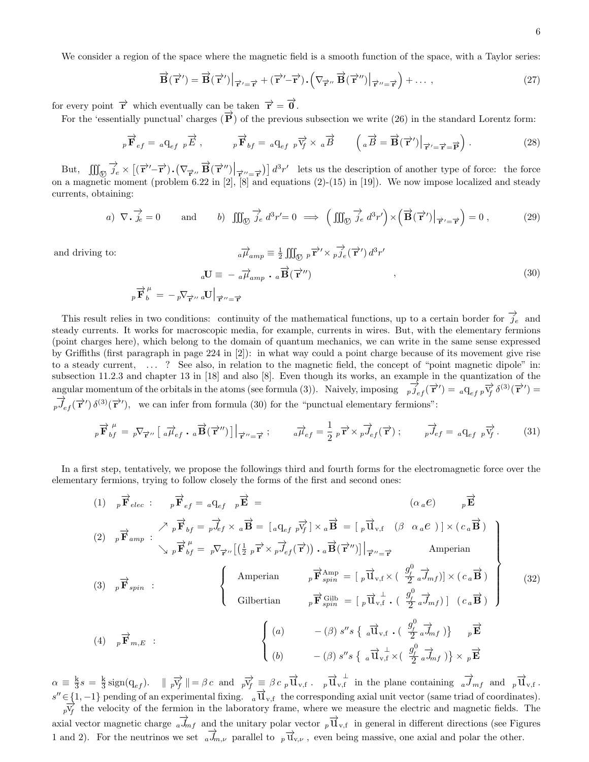We consider a region of the space where the magnetic field is a smooth function of the space, with a Taylor series:

$$
\overrightarrow{\mathbf{B}}(\overrightarrow{\mathbf{r}}') = \overrightarrow{\mathbf{B}}(\overrightarrow{\mathbf{r}}') \Big|_{\overrightarrow{\mathbf{r}}' = \overrightarrow{\mathbf{r}}} + (\overrightarrow{\mathbf{r}}' - \overrightarrow{\mathbf{r}}) \cdot (\nabla_{\overrightarrow{\mathbf{r}}''} \overrightarrow{\mathbf{B}}(\overrightarrow{\mathbf{r}}'') \Big|_{\overrightarrow{\mathbf{r}}'' = \overrightarrow{\mathbf{r}}} + \dots \,, \tag{27}
$$

for every point  $\vec{r}$  which eventually can be taken  $\vec{r} = \vec{0}$ .

For the 'essentially punctual' charges  $(\vec{P})$  of the previous subsection we write (26) in the standard Lorentz form:

$$
{}_{p}\overrightarrow{\mathbf{F}}_{ef} = {}_{a}\mathbf{q}_{ef} {}_{p}\overrightarrow{E} , \qquad \qquad {}_{p}\overrightarrow{\mathbf{F}}_{bf} = {}_{a}\mathbf{q}_{ef} {}_{p}\overrightarrow{\mathbf{v}}_{f} \times {}_{a}\overrightarrow{B} \qquad \left( {}_{a}\overrightarrow{B} = \overrightarrow{\mathbf{B}}(\overrightarrow{\mathbf{r}}') \Big|_{\overrightarrow{\mathbf{r}}' = \overrightarrow{\mathbf{r}} = \overrightarrow{\mathbf{P}}} \right).
$$
 (28)

But,  $\iiint_{\mathbb{Q}} \overrightarrow{j_e} \times \left[ (\overrightarrow{r}' - \overrightarrow{r}) \cdot (\nabla_{\overrightarrow{r}''} \overrightarrow{B} (\overrightarrow{r}'') \Big|_{\overrightarrow{r}'' = \overrightarrow{r}}) \right] d^3r'$  lets us the description of another type of force: the force on a magnetic moment (problem 6.22 in [2], [8] and equations (2)-(15) in [19]). We now impose localized and steady currents, obtaining:

a) 
$$
\nabla \cdot \vec{j}_e = 0
$$
 and b)  $\iiint_{\mathcal{D}} \vec{j}_e d^3 r' = 0 \implies \left( \iiint_{\mathcal{D}} \vec{j}_e d^3 r' \right) \times \left( \vec{B}(\vec{r}') \Big|_{\vec{r}' = \vec{r}} \right) = 0$ , (29)

and driving to:

$$
{}_{a}\overrightarrow{\mu}_{amp} \equiv \frac{1}{2} \iiint_{\text{O}} p \overrightarrow{\mathbf{r}}' \times p \overrightarrow{j}_{e}(\overrightarrow{\mathbf{r}}') d^{3}r'
$$

$$
{}_{a}\mathbf{U} \equiv -{}_{a}\overrightarrow{\mu}_{amp} \cdot {}_{a}\overrightarrow{\mathbf{B}}(\overrightarrow{\mathbf{r}}'')
$$

$$
{}_{p}\overrightarrow{\mathbf{F}}_{b}^{\mu} = -{}_{p}\nabla_{\overrightarrow{\mathbf{r}}''}{}_{a}\mathbf{U}\Big|_{\overrightarrow{\mathbf{r}}'' = \overrightarrow{\mathbf{r}}}
$$
(30)

This result relies in two conditions: continuity of the mathematical functions, up to a certain border for  $\overrightarrow{j_e}$  and steady currents. It works for macroscopic media, for example, currents in wires. But, with the elementary fermions (point charges here), which belong to the domain of quantum mechanics, we can write in the same sense expressed by Griffiths (first paragraph in page 224 in [2]): in what way could a point charge because of its movement give rise to a steady current, . . . ? See also, in relation to the magnetic field, the concept of "point magnetic dipole" in: subsection 11.2.3 and chapter 13 in [18] and also [8]. Even though its works, an example in the quantization of the angular momentum of the orbitals in the atoms (see formula (3)). Naively, imposing  $\vec{p}$ ,  $\vec{f}$  ( $\vec{r}'$ ) =  ${}_{a}q_{ef}p\vec{v}$  ( $\vec{s}^{(3)}(\vec{r}')$ ) =  $\overrightarrow{p}_{ef}(\overrightarrow{\mathbf{r}}')\delta^{(3)}(\overrightarrow{\mathbf{r}}')$ , we can infer from formula (30) for the "punctual elementary fermions":

$$
{}_{p}\overrightarrow{\mathbf{F}}_{bf}^{\mu} = {}_{p}\nabla_{\overrightarrow{\mathbf{r}}^{\mu}}\left[\begin{array}{c}\overrightarrow{a\mu}_{ef}\cdot\overrightarrow{a\mathbf{B}}(\overrightarrow{\mathbf{r}}^{\mu})\end{array}\right]\Big|_{\overrightarrow{\mathbf{r}}^{\mu}=\overrightarrow{\mathbf{r}}};\n\qquad\n\overrightarrow{a\mu}_{ef} = \frac{1}{2}{}_{p}\overrightarrow{\mathbf{r}} \times {}_{p}\overrightarrow{J}_{ef}(\overrightarrow{\mathbf{r}}); \n\qquad\n\overrightarrow{pJ}_{ef} = {}_{a}\mathbf{q}_{ef}{}_{p}\overrightarrow{v_{f}}.
$$
\n(31)

In a first step, tentatively, we propose the followings third and fourth forms for the electromagnetic force over the elementary fermions, trying to follow closely the forms of the first and second ones:

$$
(1) \quad p \overrightarrow{\mathbf{F}}_{elec} : \quad p \overrightarrow{\mathbf{F}}_{ef} = a \mathbf{q}_{ef} \quad p \overrightarrow{\mathbf{E}} = (a_{af} \quad p \overrightarrow{\mathbf{F}}_{ef})
$$
\n
$$
(2) \quad p \overrightarrow{\mathbf{F}}_{amp} : \quad \nearrow p \overrightarrow{\mathbf{F}}_{bf} = p \overrightarrow{\mathbf{f}}_{ef} \times a \overrightarrow{\mathbf{B}} = [a \mathbf{q}_{ef} \quad p \overrightarrow{\mathbf{y}}_{f}] \times a \overrightarrow{\mathbf{B}} = [p \overrightarrow{\mathbf{u}}_{v,f} \quad (\beta \quad \alpha_{a} e)] \times (c_{a} \overrightarrow{\mathbf{B}})
$$
\n
$$
(3) \quad p \overrightarrow{\mathbf{F}}_{spin} : \quad \left\{ \begin{array}{c} \text{American} \\ \text{American} \\ \text{Gilbertian} \\ \text{Gilbertian} \\ \beta \overrightarrow{\mathbf{F}}_{spin} = [p \overrightarrow{\mathbf{u}}_{v,f} \times (\frac{g_{f}^{0}}{2} a \overrightarrow{\mathbf{f}}_{mf})] \times (c_{a} \overrightarrow{\mathbf{B}}) \\ \beta \overrightarrow{\mathbf{F}}_{spin} : \quad \left\{ \begin{array}{c} \text{American} \\ \text{Gilbertian} \\ \beta \overrightarrow{\mathbf{F}}_{spin} = [p \overrightarrow{\mathbf{u}}_{v,f} \times (\frac{g_{f}^{0}}{2} a \overrightarrow{\mathbf{f}}_{mf})] \times (c_{a} \overrightarrow{\mathbf{B}}) \\ \beta \overrightarrow{\mathbf{F}}_{spin} : \quad \beta \overrightarrow{\mathbf{F}}_{spin} = [p \overrightarrow{\mathbf{u}}_{v,f} \cdot (\frac{g_{f}^{0}}{2} a \overrightarrow{\mathbf{f}}_{mf})] \quad (c_{a} \overrightarrow{\mathbf{B}}) \end{array} \right\}
$$
\n
$$
(32)
$$

 $\alpha = \frac{k}{3}s = \frac{k}{3}\operatorname{sign}(q_{ef})$ .  $||p\vec{v}_f|| = \beta c$  and  $p\vec{v}_f \equiv \beta c \, p \vec{u}_{v,f}$ .  $p\vec{u}_{v,f}$  in the plane containing  $\alpha \vec{J}_{mf}$  and  $p\vec{u}_{v,f}$ .  $s'' \in \{1, -1\}$  pending of an experimental fixing.  $a \overrightarrow{u}_{v,f}$  the corresponding axial unit vector (same triad of coordinates).  $\frac{1}{pV_f}$  the velocity of the fermion in the laboratory frame, where we measure the electric and magnetic fields. The axial vector magnetic charge  $\overrightarrow{a}_{mf}$  and the unitary polar vector  $\overrightarrow{p} \overrightarrow{u}_{v,f}$  in general in different directions (see Figures 1 and 2). For the neutrinos we set  $\frac{1}{a}J_{m,\nu}$  parallel to  $p \vec{u}_{v,\nu}$ , even being massive, one axial and polar the other.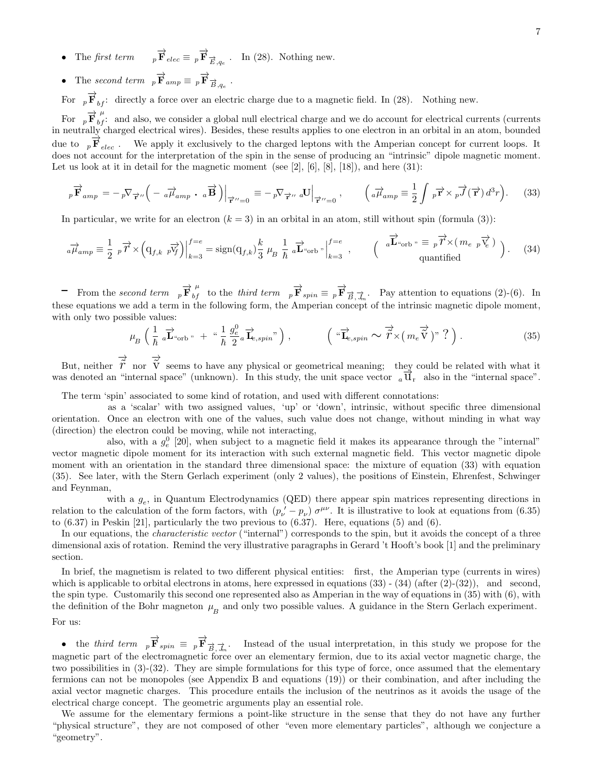- The first term  ${}_p\overrightarrow{\mathbf{F}}_{elec} \equiv {}_p\overrightarrow{\mathbf{F}}_{\overrightarrow{E},q_e}$ . In (28). Nothing new.
- The second term  $_p \vec{F}_{amp} \equiv p \vec{F}_{\vec{B},q_e}$ .

For  $p \overrightarrow{F}_{bf}$ : directly a force over an electric charge due to a magnetic field. In (28). Nothing new.

For  $p \overrightarrow{F}_{bf}^{\mu}$  and also, we consider a global null electrical charge and we do account for electrical currents (currents in neutrally charged electrical wires). Besides, these results applies to one electron in an orbital in an atom, bounded due to  $_p\mathbf{F}_{elec}$ . We apply it exclusively to the charged leptons with the Amperian concept for current loops. It does not account for the interpretation of the spin in the sense of producing an "intrinsic" dipole magnetic moment. Let us look at it in detail for the magnetic moment (see [2],  $[6]$ ,  $[8]$ ,  $[18]$ ), and here  $(31)$ :

$$
{}_{p}\overrightarrow{\mathbf{F}}_{amp} = -{}_{p}\nabla_{\overrightarrow{\mathbf{r}}''}\Big(-\frac{1}{a\mu_{amp}}\cdot\frac{1}{a\mathbf{B}}\Big)\Big|_{\overrightarrow{\mathbf{r}}''=0} \equiv -{}_{p}\nabla_{\overrightarrow{\mathbf{r}}''}\cdot\frac{1}{a\mathbf{U}}\Big|_{\overrightarrow{\mathbf{r}}''=0}, \qquad \Big(\frac{1}{a\mu_{amp}}\equiv\frac{1}{2}\int_{p}\overrightarrow{\mathbf{r}}\times_{p}\overrightarrow{J}(\overrightarrow{\mathbf{r}})\,d^{3}r\Big).
$$
 (33)

In particular, we write for an electron  $(k = 3)$  in an orbital in an atom, still without spin (formula (3)):

$$
{}_{a}\overrightarrow{\mu}_{amp} \equiv \frac{1}{2} {}_{p}\overrightarrow{r} \times \left(\mathbf{q}_{f,k} {}_{p}\overrightarrow{v_{f}}\right)\Big|_{k=3}^{f=e} = \text{sign}(\mathbf{q}_{f,k}) \frac{k}{3} {}_{\mu}{}_{B} \frac{1}{\hbar} {}_{a}\overrightarrow{\mathbf{L}}^{a}_{\text{orb}} {}_{n}\Big|_{k=3}^{f=e} , \qquad \left(\begin{array}{c} {}_{a}\overrightarrow{\mathbf{L}}^{a}_{\text{orb}} {}_{n} \equiv {}_{p}\overrightarrow{r} \times (m_{e} {}_{p}\overrightarrow{v_{e}}) \\ \text{quantified} \end{array}\right). \tag{34}
$$

- From the second term  ${}_{p}\overrightarrow{\mathbf{F}}_{bf}^{\mu}$  to the third term  ${}_{p}\overrightarrow{\mathbf{F}}_{spin} \equiv {}_{p}\overrightarrow{\mathbf{F}}_{\overrightarrow{B},\overrightarrow{J}_{m}}$ . Pay attention to equations (2)-(6). In these equations we add a term in the following form, the Amperian concept of the intrinsic magnetic dipole moment, with only two possible values:

$$
\mu_B \left( \frac{1}{\hbar} \, a \overrightarrow{\mathbf{L}}^{\alpha}_{\text{orb}} + \, ^{\alpha} \frac{1}{\hbar} \, \frac{g_e^0}{2} a \overrightarrow{\mathbf{L}}_{e, spin}^{\alpha} \right), \qquad \left( ^{\alpha} \overrightarrow{\mathbf{L}}_{e, spin} \sim \overrightarrow{\tilde{r}} \times \left( m_e \overrightarrow{\tilde{V}} \right)^{\gamma} \, ? \right). \tag{35}
$$

But, neither  $\vec{r}$  nor  $\vec{v}$  seems to have any physical or geometrical meaning; they could be related with what it but, heritier  $\overline{V}$  from  $\overline{V}$  seems to have any physical of geometrical meaning, they could be related with what it was denoted an "internal space" (unknown). In this study, the unit space vector  $\overline{u}$ , also in

The term 'spin' associated to some kind of rotation, and used with different connotations:

as a 'scalar' with two assigned values, 'up' or 'down', intrinsic, without specific three dimensional orientation. Once an electron with one of the values, such value does not change, without minding in what way (direction) the electron could be moving, while not interacting,

also, with a  $g_e^0$  [20], when subject to a magnetic field it makes its appearance through the "internal" vector magnetic dipole moment for its interaction with such external magnetic field. This vector magnetic dipole moment with an orientation in the standard three dimensional space: the mixture of equation (33) with equation (35). See later, with the Stern Gerlach experiment (only 2 values), the positions of Einstein, Ehrenfest, Schwinger and Feynman,

with a  $g_e$ , in Quantum Electrodynamics (QED) there appear spin matrices representing directions in relation to the calculation of the form factors, with  $(p'_\nu - p_\nu) \sigma^{\mu\nu}$ . It is illustrative to look at equations from (6.35) to  $(6.37)$  in Peskin [21], particularly the two previous to  $(6.37)$ . Here, equations (5) and  $(6)$ .

In our equations, the *characteristic vector* ("internal") corresponds to the spin, but it avoids the concept of a three dimensional axis of rotation. Remind the very illustrative paragraphs in Gerard 't Hooft's book [1] and the preliminary section.

In brief, the magnetism is related to two different physical entities: first, the Amperian type (currents in wires) which is applicable to orbital electrons in atoms, here expressed in equations  $(33)$  -  $(34)$  (after  $(2)-(32)$ ), and second, the spin type. Customarily this second one represented also as Amperian in the way of equations in (35) with (6), with the definition of the Bohr magneton  $\mu_B^-$  and only two possible values. A guidance in the Stern Gerlach experiment. For us:

• the third term  $_p \vec{F}_{spin} = p \vec{F}_{\vec{B},\vec{A}_{m}}$ . Instead of the usual interpretation, in this study we propose for the magnetic part of the electromagnetic force over an elementary fermion, due to its axial vector magnetic charge, the two possibilities in (3)-(32). They are simple formulations for this type of force, once assumed that the elementary fermions can not be monopoles (see Appendix B and equations (19)) or their combination, and after including the axial vector magnetic charges. This procedure entails the inclusion of the neutrinos as it avoids the usage of the electrical charge concept. The geometric arguments play an essential role.

We assume for the elementary fermions a point-like structure in the sense that they do not have any further "physical structure", they are not composed of other "even more elementary particles", although we conjecture a "geometry".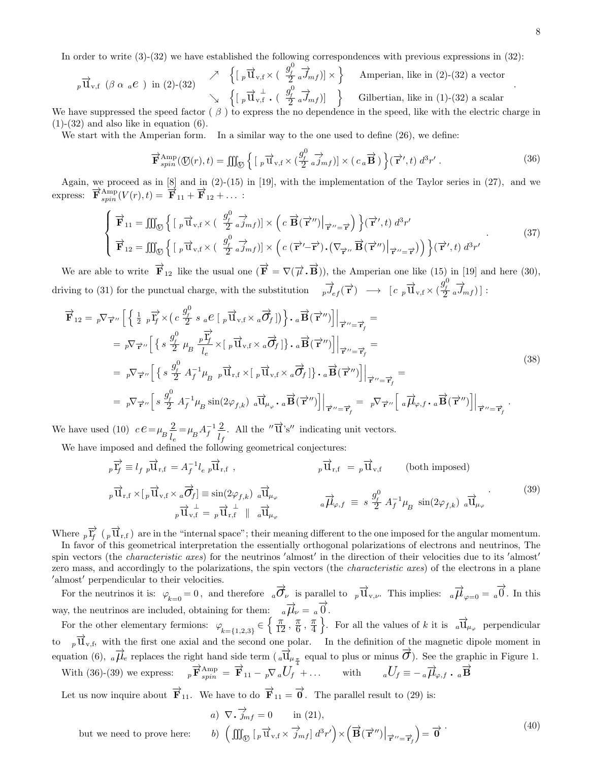In order to write (3)-(32) we have established the following correspondences with previous expressions in (32):

$$
{}_{p}\overrightarrow{\mathbf{u}}_{\mathbf{v},\mathbf{f}}\ (\beta \alpha \ a\mathbf{e}) \text{ in (2)-(32)} \quad \nearrow \quad \left\{ \left[ \begin{array}{c} \beta \overrightarrow{\mathbf{u}}_{\mathbf{v},\mathbf{f}} \times \left( \begin{array}{c} g_{f}^{0} \\ \overrightarrow{2} \end{array} \vec{a} \right) \overrightarrow{m}_{\mathbf{f}} \end{array} \right) \right\} \quad \text{American, like in (2)-(32) a vector} \quad \searrow \quad \left\{ \left[ \begin{array}{c} \beta \overrightarrow{\mathbf{u}}_{\mathbf{v},\mathbf{f}} \cdot \left( \begin{array}{c} g_{f}^{0} \\ \overrightarrow{2} \end{array} \vec{a} \right) \overrightarrow{m}_{\mathbf{f}} \end{array} \right) \right\} \quad \text{Gilbertian, like in (1)-(32) a scalar}
$$

We have suppressed the speed factor  $(\beta)$  to express the no dependence in the speed, like with the electric charge in  $(1)-(32)$  and also like in equation  $(6)$ .

We start with the Amperian form. In a similar way to the one used to define  $(26)$ , we define:

$$
\overrightarrow{\mathbf{F}}_{spin}^{Amp}(\mathbb{O}(r),t) = \iiint_{\mathbb{O}} \left\{ \left[ \,_{p} \overrightarrow{\mathbf{u}}_{v,f} \times \left( \frac{g_{f}^{0}}{2} \,_{a} \overrightarrow{j}_{mf} \right) \right] \times \left( \, c_{a} \overrightarrow{\mathbf{B}} \, \right) \right\}(\overrightarrow{\mathbf{r}}',t) \, d^{3}r' \,. \tag{36}
$$

Again, we proceed as in  $[8]$  and in  $(2)-(15)$  in  $[19]$ , with the implementation of the Taylor series in  $(27)$ , and we express:  $\overrightarrow{\mathbf{F}}_{spin}^{Amp}(V(r), t) = \overrightarrow{\mathbf{F}}_{11} + \overrightarrow{\mathbf{F}}_{12} + \dots$ 

$$
\begin{cases}\n\vec{\mathbf{F}}_{11} = \iiint_{\mathcal{D}} \left\{ \left[ \,_{p} \vec{\mathbf{u}}_{\mathbf{v},\mathbf{f}} \times \left( \, \frac{g_{\rho}^{0}}{2} \,_{a} \vec{\jmath}_{m\mathbf{f}} \right) \right] \times \left( c \, \vec{\mathbf{B}}(\vec{\mathbf{r}}'') \, \middle|_{\vec{\mathbf{r}}'' = \vec{\mathbf{r}}'} \right) \right\} (\vec{\mathbf{r}}',t) \, d^{3}r' \\
\vec{\mathbf{F}}_{12} = \iiint_{\mathcal{D}} \left\{ \left[ \,_{p} \vec{\mathbf{u}}_{\mathbf{v},\mathbf{f}} \times \left( \, \frac{g_{\rho}^{0}}{2} \,_{a} \vec{\jmath}_{m\mathbf{f}} \right) \right] \times \left( c \, (\vec{\mathbf{r}}' - \vec{\mathbf{r}}) \cdot (\nabla_{\vec{\mathbf{r}}''} \, \vec{\mathbf{B}}(\vec{\mathbf{r}}'') \, \middle|_{\vec{\mathbf{r}}'' = \vec{\mathbf{r}}'} \right) \right) \right\} (\vec{\mathbf{r}}',t) \, d^{3}r' \\
\vec{\mathbf{F}}_{23} = \iiint_{\mathcal{D}} \left\{ \left[ \,_{p} \vec{\mathbf{u}}_{\mathbf{v},\mathbf{f}} \times \left( \, \frac{g_{\rho}^{0}}{2} \,_{a} \vec{\jmath}_{m\mathbf{f}} \right) \right] \times \left( c \, (\vec{\mathbf{r}}' - \vec{\mathbf{r}}) \cdot (\nabla_{\vec{\mathbf{r}}''} \, \vec{\mathbf{B}}(\vec{\mathbf{r}}'') \, \middle|_{\vec{\mathbf{r}}'' = \vec{\mathbf{r}}'} \right) \right\} (\vec{\mathbf{r}}',t) \, d^{3}r' \\
\end{cases} \tag{37}
$$

We are able to write  $\overrightarrow{F}_{12}$  like the usual one  $(\overrightarrow{F} = \nabla(\overrightarrow{\mu} \cdot \overrightarrow{B}))$ , the Amperian one like  $(15)$  in [19] and here (30), driving to (31) for the punctual charge, with the substitution  $\overrightarrow{p}_{ef}(\overrightarrow{r}) \rightarrow [c \overrightarrow{p} \overrightarrow{u}_{v,f} \times (\frac{g_f^0}{2} \overrightarrow{a} \overrightarrow{J}_{mf})]$ :

$$
\overrightarrow{\mathbf{F}}_{12} = p \nabla_{\overrightarrow{\mathbf{r}}''} \left[ \left\{ \frac{1}{2} p \overrightarrow{\mathbf{r}}_f^2 \times \left( c \frac{g_f^0}{2} s a \mathcal{E} \left[ p \overrightarrow{\mathbf{u}}_{v,f} \times a \overrightarrow{\mathbf{G}}_f \right] \right) \right\} \cdot a \overrightarrow{\mathbf{B}}(\overrightarrow{\mathbf{r}}'') \right] \Big|_{\overrightarrow{\mathbf{r}}'' = \overrightarrow{\mathbf{r}}_f} =
$$
\n
$$
= p \nabla_{\overrightarrow{\mathbf{r}}''} \left[ \left\{ s \frac{g_f^0}{2} \mu_B \frac{p \overrightarrow{\mathbf{r}}_f}{l_e} \times \left[ p \overrightarrow{\mathbf{u}}_{v,f} \times a \overrightarrow{\mathbf{G}}_f \right] \right\} \cdot a \overrightarrow{\mathbf{B}}(\overrightarrow{\mathbf{r}}'') \right] \Big|_{\overrightarrow{\mathbf{r}}'' = \overrightarrow{\mathbf{r}}_f} =
$$
\n
$$
= p \nabla_{\overrightarrow{\mathbf{r}}''} \left[ \left\{ s \frac{g_f^0}{2} A_f^{-1} \mu_B p \overrightarrow{\mathbf{u}}_{r,f} \times \left[ p \overrightarrow{\mathbf{u}}_{v,f} \times a \overrightarrow{\mathbf{G}}_f \right] \right\} \cdot a \overrightarrow{\mathbf{B}}(\overrightarrow{\mathbf{r}}'') \right] \Big|_{\overrightarrow{\mathbf{r}}'' = \overrightarrow{\mathbf{r}}_f} =
$$
\n
$$
= p \nabla_{\overrightarrow{\mathbf{r}}''} \left[ s \frac{g_f^0}{2} A_f^{-1} \mu_B \sin(2\varphi_{f,k}) a \overrightarrow{\mathbf{u}}_{\mu_\varphi} \cdot a \overrightarrow{\mathbf{B}}(\overrightarrow{\mathbf{r}}'') \right] \Big|_{\overrightarrow{\mathbf{r}}'' = \overrightarrow{\mathbf{r}}_f} = p \nabla_{\overrightarrow{\mathbf{r}}''} \left[ a \overrightarrow{\mathbf{h}}_{\varphi,f} \cdot a \overrightarrow{\mathbf{B}}(\overrightarrow{\mathbf{r}}'') \right] \Big|_{\overrightarrow{\mathbf{r}}'' = \overrightarrow{\mathbf{r}}_f}.
$$
\n(38)

We have used (10)  $c \, e = \mu_B$ 2  $l_e$  $=\mu_B A_f^{-1} \frac{2}{l}$  $\frac{2}{l_f}$ . All the " $\overrightarrow{u}$ 's" indicating unit vectors.

We have imposed and defined the following geometrical conjectures:

$$
{}_{p}\overrightarrow{\mathbf{I}_{f}} \equiv l_{f} \, p\overrightarrow{\mathbf{U}}_{\mathbf{r},\mathbf{f}} = A_{f}^{-1}l_{e} \, p\overrightarrow{\mathbf{U}}_{\mathbf{r},\mathbf{f}} , \qquad p\overrightarrow{\mathbf{U}}_{\mathbf{r},\mathbf{f}} = p\overrightarrow{\mathbf{U}}_{\mathbf{v},\mathbf{f}} \qquad \text{(both imposed)}
$$
\n
$$
{}_{p}\overrightarrow{\mathbf{U}}_{\mathbf{r},\mathbf{f}} \times [p\overrightarrow{\mathbf{U}}_{\mathbf{v},\mathbf{f}} \times a\overrightarrow{\mathbf{O}_{f}}] \equiv \sin(2\varphi_{f,k}) \, a\overrightarrow{\mathbf{U}}_{\mu_{\varphi}} \qquad a\overrightarrow{\mu_{\varphi}}_{\varphi} \qquad a\overrightarrow{\mu_{\varphi}}_{\varphi} \equiv s \frac{g_{f}^{0}}{2} \, A_{f}^{-1} \mu_{B} \, \sin(2\varphi_{f,k}) \, a\overrightarrow{\mathbf{U}}_{\mu_{\varphi}} \qquad (39)
$$

Where  ${}_{p}\overrightarrow{\Gamma}_{f}$  ( ${}_{p}\overrightarrow{\Upsilon}_{r,f}$ ) are in the "internal space"; their meaning different to the one imposed for the angular momentum. In favor of this geometrical interpretation the essentially orthogonal polarizations of electrons and neutrinos, The spin vectors (the *characteristic axes*) for the neutrinos 'almost' in the direction of their velocities due to its 'almost' zero mass, and accordingly to the polarizations, the spin vectors (the characteristic axes) of the electrons in a plane ′almost′ perpendicular to their velocities.

For the neutrinos it is:  $\varphi_{k=0} = 0$ , and therefore  $\partial_{\nu} \vec{O}_{\nu}$  is parallel to  $\partial_{\nu} \vec{U}_{\nu,\nu}$ . This implies:  $\partial_{\nu} \vec{D}_{\nu} = \partial_{\nu} \vec{O}$ . In this way, the neutrinos are included, obtaining for them:  $a \overrightarrow{\mu}_{\nu} = a \overrightarrow{0}$ .

For the other elementary fermions:  $\varphi_{k=\{1,2,3\}} \in \left\{ \frac{\pi}{12}, \frac{\pi}{6} \right\}$  $\frac{\pi}{6}$ ,  $\frac{\pi}{4}$ 4 For all the values of k it is  $_{a}\overrightarrow{u}_{\mu_{\varphi}}$  perpendicular to  $\vec{p} \, \vec{u}_{v,f}$ , with the first one axial and the second one polar. In the definition of the magnetic dipole moment in equation (6),  $_{a}\overrightarrow{\mu}_{e}$  replaces the right hand side term  $(\overrightarrow{_{a}\Pi}_{\mu_{\frac{\pi}{4}}}$  equal to plus or minus  $\overrightarrow{O}$ ). See the graphic in Figure 1. With (36)-(39) we express:  $p \vec{F}^{\text{Amp}}_{spin} = \vec{F}_{11} - p \nabla_a U_f + \dots$  with  $aU_f \equiv -a \vec{\mu}_{\varphi,f}$ .  $a \vec{B}$ 

Let us now inquire about  $\overrightarrow{F}_{11}$ . We have to do  $\overrightarrow{F}_{11} = \overrightarrow{0}$ . The parallel result to (29) is:

but we need to prove here:

a) 
$$
\nabla \cdot \overrightarrow{j}_{mf} = 0
$$
 in (21),  
\nb)  $\left( \iiint_{\mathcal{O}} \left[ p \overrightarrow{u}_{v,f} \times \overrightarrow{j}_{mf} \right] d^3 r' \right) \times \left( \overrightarrow{B}(\overrightarrow{r}'') \Big|_{\overrightarrow{r}'' = \overrightarrow{r}_f} \right) = \overrightarrow{0}$  (40)

.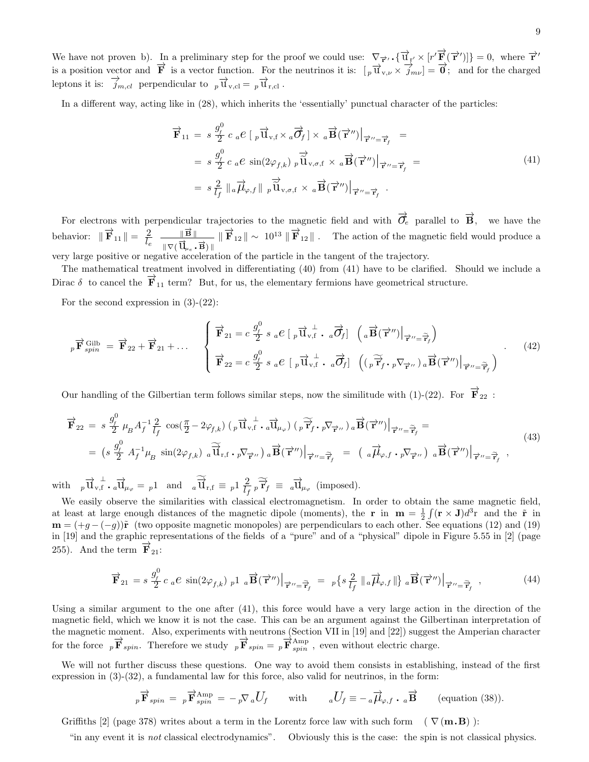We have not proven b). In a preliminary step for the proof we could use:  $\nabla_{\vec{r}} \cdot {\vec{u}}_{\vec{r}} \times [r' \vec{F}(\vec{r}')] = 0$ , where  $\vec{r}'$ is a position vector and  $\vec{F}$  is a vector function. For the neutrinos it is:  $[\overline{p} \overline{u}_{v,v} \times \overline{j}_{mv}] = \vec{0}$ ; and for the charged leptons it is:  $\overrightarrow{j}_{m,cl}$  perpendicular to  $_p \overrightarrow{u}_{v,cl} = _p \overrightarrow{u}_{r,cl}$ .

In a different way, acting like in (28), which inherits the 'essentially' punctual character of the particles:

$$
\overrightarrow{\mathbf{F}}_{11} = s \frac{g_f^0}{2} c_a e \left[ p \overrightarrow{\mathbf{u}}_{\mathbf{v},f} \times_a \overrightarrow{\mathbf{\mathcal{G}}}_f \right] \times a \overrightarrow{\mathbf{B}}(\overrightarrow{\mathbf{r}}'') \Big|_{\overrightarrow{\mathbf{r}}'' = \overrightarrow{\mathbf{r}}_f} =
$$
\n
$$
= s \frac{g_f^0}{2} c_a e \sin(2\varphi_{f,k}) p \overrightarrow{\mathbf{u}}_{\mathbf{v},\sigma,f} \times a \overrightarrow{\mathbf{B}}(\overrightarrow{\mathbf{r}}'') \Big|_{\overrightarrow{\mathbf{r}}'' = \overrightarrow{\mathbf{r}}_f} =
$$
\n
$$
= s \frac{2}{l_f} \Big| a \overrightarrow{\mu}_{\varphi,f} \Big| p \overrightarrow{\mathbf{u}}_{\mathbf{v},\sigma,f} \times a \overrightarrow{\mathbf{B}}(\overrightarrow{\mathbf{r}}'') \Big|_{\overrightarrow{\mathbf{r}}'' = \overrightarrow{\mathbf{r}}_f}.
$$
\n(41)

For electrons with perpendicular trajectories to the magnetic field and with  $\vec{\sigma}_e$  parallel to  $\vec{B}$ , we have the behavior:  $\|\vec{F}_{11}\| = \frac{2}{l}$  $\frac{2}{l_e}$   $\frac{\|\vec{B}\|}{\|\nabla\vec{A}\|}$  $\frac{\|\mathbf{B}\|}{\|\nabla (\overrightarrow{\mathbf{U}}_{\mu_e} \centerdot \vec{\mathbf{B}})\|}$  $\|\vec{F}_{12}\| \sim 10^{13} \|\vec{F}_{12}\|$ . The action of the magnetic field would produce a very large positive or negative acceleration of the particle in the tangent of the trajectory.

The mathematical treatment involved in differentiating (40) from (41) have to be clarified. Should we include a Dirac  $\delta$  to cancel the  $\mathbf{F}_{11}$  term? But, for us, the elementary fermions have geometrical structure.

For the second expression in  $(3)-(22)$ :

$$
{}_{p}\overrightarrow{\mathbf{F}}_{spin}^{\text{Gilb}} = \overrightarrow{\mathbf{F}}_{22} + \overrightarrow{\mathbf{F}}_{21} + \dots \qquad \begin{cases} \overrightarrow{\mathbf{F}}_{21} = c \frac{g_{f}^{0}}{2} s_{a} e \left[ \,{}_{p} \overrightarrow{\mathbf{u}}_{v,\text{f}}^{\perp} \cdot \,{}_{a} \overrightarrow{\mathbf{\mathcal{O}}}_{\text{f}} \right] \left( \,{}_{a} \overrightarrow{\mathbf{B}} (\overrightarrow{\mathbf{r}}'') \big|_{\overrightarrow{\mathbf{r}}'' = \overrightarrow{\mathbf{r}}_{\text{f}}} \right) \\ \overrightarrow{\mathbf{F}}_{22} = c \frac{g_{f}^{0}}{2} s_{a} e \left[ \,{}_{p} \overrightarrow{\mathbf{u}}_{v,\text{f}}^{\perp} \cdot \,{}_{a} \overrightarrow{\mathbf{\mathcal{O}}}_{\text{f}} \right] \left( \left( \,{}_{p} \overrightarrow{\mathbf{r}}_{f}^{\prime} \cdot \,{}_{p} \nabla_{\overrightarrow{\mathbf{r}}''} \right) \,{}_{a} \overrightarrow{\mathbf{B}} (\overrightarrow{\mathbf{r}}'') \big|_{\overrightarrow{\mathbf{r}}'' = \overrightarrow{\mathbf{r}}_{f}} \right) \end{cases} \tag{42}
$$

Our handling of the Gilbertian term follows similar steps, now the similitude with (1)-(22). For  $\overrightarrow{F}_{22}$ :

$$
\overrightarrow{\mathbf{F}}_{22} = s \frac{g_f^0}{2} \mu_B A_f^{-1} \frac{2}{l_f} \cos(\frac{\pi}{2} - 2\varphi_{f,k}) \left( p \overrightarrow{\mathbf{u}}_{v,\mathbf{f}} \cdot a \overrightarrow{\mathbf{u}}_{\mu_\varphi} \right) \left( p \overrightarrow{\mathbf{r}}_f \cdot p \nabla_{\overrightarrow{\mathbf{r}}''} \right) a \overrightarrow{\mathbf{B}}(\overrightarrow{\mathbf{r}}'') \Big|_{\overrightarrow{\mathbf{r}}'' = \overrightarrow{\mathbf{r}}_f} =
$$
\n
$$
= \left( s \frac{g_f^0}{2} A_f^{-1} \mu_B \sin(2\varphi_{f,k}) a \overrightarrow{\mathbf{u}}_{\mathbf{r},\mathbf{f}} \cdot p \nabla_{\overrightarrow{\mathbf{r}}''} \right) a \overrightarrow{\mathbf{B}}(\overrightarrow{\mathbf{r}}'') \Big|_{\overrightarrow{\mathbf{r}}'' = \overrightarrow{\mathbf{r}}_f} = \left( a \overrightarrow{\mu}_{\varphi,f} \cdot p \nabla_{\overrightarrow{\mathbf{r}}''} \right) a \overrightarrow{\mathbf{B}}(\overrightarrow{\mathbf{r}}'') \Big|_{\overrightarrow{\mathbf{r}}'' = \overrightarrow{\mathbf{r}}_f} \tag{43}
$$

with  $_p \vec{u}_{v,f}^{\perp} \cdot a \vec{u}_{\mu_{\varphi}} = p_1$  and  $_a \widetilde{\vec{u}}_{r,f} \equiv p_1 \frac{2}{L}$  $\frac{2}{l_f} \widetilde{r}_f \equiv a \overrightarrow{\mathbf{u}}_{\mu_\varphi}$  (imposed).

We easily observe the similarities with classical electromagnetism. In order to obtain the same magnetic field, at least at large enough distances of the magnetic dipole (moments), the r in  $m = \frac{1}{2} \int (r \times J) d^3r$  and the  $\tilde{r}$  in  $\mathbf{m} = (+g - (-g))\tilde{\mathbf{r}}$  (two opposite magnetic monopoles) are perpendiculars to each other. See equations (12) and (19) in [19] and the graphic representations of the fields of a "pure" and of a "physical" dipole in Figure 5.55 in [2] (page 255). And the term  $\mathbf{F}_{21}$ :

$$
\overrightarrow{\mathbf{F}}_{21} = s \frac{g_f^0}{2} c_a e \sin(2\varphi_{f,k}) \frac{1}{p} a \overrightarrow{\mathbf{B}}(\overrightarrow{\mathbf{r}}'') \Big|_{\overrightarrow{\mathbf{r}}'' = \overrightarrow{\mathbf{r}}_f} = \frac{1}{p} \left\{ s \frac{2}{l_f} \left\| a \overrightarrow{\mu}_{\varphi,f} \right\| \right\} a \overrightarrow{\mathbf{B}}(\overrightarrow{\mathbf{r}}'') \Big|_{\overrightarrow{\mathbf{r}}'' = \overrightarrow{\mathbf{r}}_f} , \tag{44}
$$

Using a similar argument to the one after (41), this force would have a very large action in the direction of the magnetic field, which we know it is not the case. This can be an argument against the Gilbertinan interpretation of the magnetic moment. Also, experiments with neutrons (Section VII in [19] and [22]) suggest the Amperian character for the force  $p\overrightarrow{F}_{spin}$ . Therefore we study  $p\overrightarrow{F}_{spin} = p\overrightarrow{F}_{spin}^{Amp}$ , even without electric charge.

We will not further discuss these questions. One way to avoid them consists in establishing, instead of the first expression in (3)-(32), a fundamental law for this force, also valid for neutrinos, in the form:

$$
{}_{p}\overrightarrow{\mathbf{F}}_{spin} = {}_{p}\overrightarrow{\mathbf{F}}_{spin}^{\text{Amp}} = -{}_{p}\nabla_{a}U_{f} \quad \text{with} \quad aU_{f} \equiv -{}_{a}\overrightarrow{\mu}_{\varphi,f} \cdot a\overrightarrow{\mathbf{B}} \quad \text{(equation (38))}.
$$

Griffiths [2] (page 378) writes about a term in the Lorentz force law with such form ( $\nabla$ ( $\mathbf{m.B}$ )):

"in any event it is not classical electrodynamics". Obviously this is the case: the spin is not classical physics.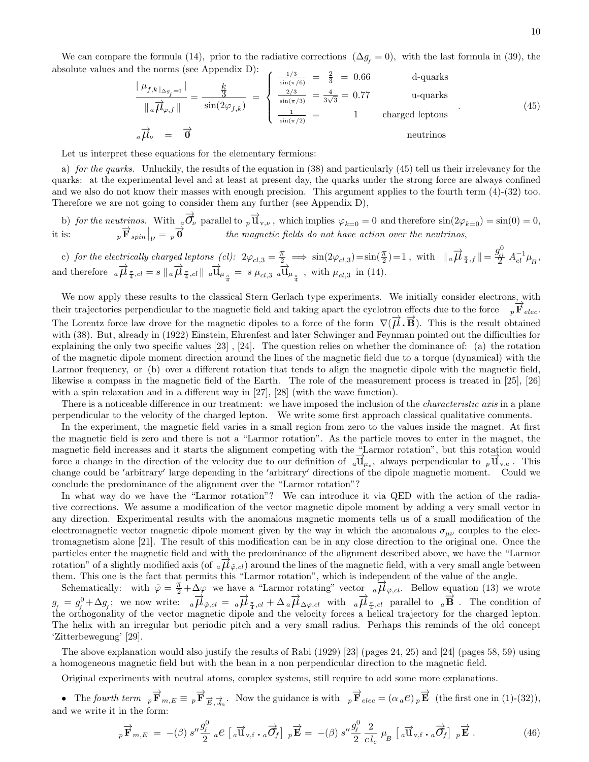We can compare the formula (14), prior to the radiative corrections  $(\Delta g_{\ell} = 0)$ , with the last formula in (39), the absolute values and the norms (see Appendix D):

$$
\frac{|\mu_{f,k}|_{\Delta g_{f}=0}}{||a\overrightarrow{\mu}_{\varphi,f}||} = \frac{\frac{k}{3}}{\sin(2\varphi_{f,k})} = \begin{cases} \frac{1/3}{\sin(\pi/6)} = \frac{2}{3} = 0.66 & \text{d-quarks} \\ \frac{2/3}{\sin(\pi/3)} = \frac{4}{3\sqrt{3}} = 0.77 & \text{u-quarks} \\ \frac{1}{\sin(\pi/2)} = 1 & \text{charged leptons} \end{cases}
$$
(45)  

$$
a\overrightarrow{\mu}_{\nu} = \overrightarrow{0}
$$

Let us interpret these equations for the elementary fermions:

a) for the quarks. Unluckily, the results of the equation in (38) and particularly (45) tell us their irrelevancy for the quarks: at the experimental level and at least at present day, the quarks under the strong force are always confined and we also do not know their masses with enough precision. This argument applies to the fourth term (4)-(32) too. Therefore we are not going to consider them any further (see Appendix D),

b) for the neutrinos. With  $_{q}\overrightarrow{O}_{\nu}$  parallel to  $_{p}\overrightarrow{U}_{v,\nu}$ , which implies  $\varphi_{k=0}=0$  and therefore  $\sin(2\varphi_{k=0})=\sin(0)=0$ , it is:  $p \overrightarrow{\mathbf{F}}_{spin}|_V = p \overrightarrow{\mathbf{0}}$  the magnetic fields do not have action over the neutrinos,

c) for the electrically charged leptons  $(cl): 2\varphi_{cl,3} = \frac{\pi}{2} \implies \sin(2\varphi_{cl,3}) = \sin(\frac{\pi}{2}) = 1$ , with  $||_a \overrightarrow{\mu}_{\frac{\pi}{4},f} || = \frac{g_{cl}^0}{2} A_{cl}^{-1} \mu_{B}$ , and therefore  $_{a} \overrightarrow{\mu}_{\frac{\pi}{4},cl} = s \parallel_{a} \overrightarrow{\mu}_{\frac{\pi}{4},cl} \parallel_{a} \overrightarrow{\mathbf{u}}_{\mu_{\frac{\pi}{4}}} = s \mu_{cl,3} \overrightarrow{_{a} \mathbf{u}}_{\mu_{\frac{\pi}{4}}}$ , with  $\mu_{cl,3}$  in (14).

We now apply these results to the classical Stern Gerlach type experiments. We initially consider electrons, with their trajectories perpendicular to the magnetic field and taking apart the cyclotron effects due to the force  $p\overrightarrow{F}_{elec}$ . The Lorentz force law drove for the magnetic dipoles to a force of the form  $\nabla(\vec{\mu}.\vec{B})$ . This is the result obtained with (38). But, already in (1922) Einstein, Ehrenfest and later Schwinger and Feynman pointed out the difficulties for explaining the only two specific values [23] , [24]. The question relies on whether the dominance of: (a) the rotation of the magnetic dipole moment direction around the lines of the magnetic field due to a torque (dynamical) with the Larmor frequency, or (b) over a different rotation that tends to align the magnetic dipole with the magnetic field, likewise a compass in the magnetic field of the Earth. The role of the measurement process is treated in [25], [26] with a spin relaxation and in a different way in [27], [28] (with the wave function).

There is a noticeable difference in our treatment: we have imposed the inclusion of the *characteristic axis* in a plane perpendicular to the velocity of the charged lepton. We write some first approach classical qualitative comments.

In the experiment, the magnetic field varies in a small region from zero to the values inside the magnet. At first the magnetic field is zero and there is not a "Larmor rotation". As the particle moves to enter in the magnet, the magnetic field increases and it starts the alignment competing with the "Larmor rotation", but this rotation would force a change in the direction of the velocity due to our definition of  $_{a}\overline{d}_{\mu_{e}}$ , always perpendicular to  $_{p}\overline{d}_{v,e}$ . This change could be ′arbitrary′ large depending in the ′arbitrary′ directions of the dipole magnetic moment. Could we conclude the predominance of the alignment over the "Larmor rotation"?

In what way do we have the "Larmor rotation"? We can introduce it via QED with the action of the radiative corrections. We assume a modification of the vector magnetic dipole moment by adding a very small vector in any direction. Experimental results with the anomalous magnetic moments tells us of a small modification of the electromagnetic vector magnetic dipole moment given by the way in which the anomalous  $\sigma_{\mu\nu}$  couples to the electromagnetism alone [21]. The result of this modification can be in any close direction to the original one. Once the particles enter the magnetic field and with the predominance of the alignment described above, we have the "Larmor particles effect the magnetic field and with the predominance of the anguinem described above, we have the Elamore rotation" of a slightly modified axis (of  $_{a}\overrightarrow{\mu}_{\tilde{\varphi},d}$ ) around the lines of the magnetic field, wit them. This one is the fact that permits this "Larmor rotation", which is independent of the value of the angle.

Schematically: with  $\tilde{\varphi} = \frac{\pi}{2} + \Delta \varphi$  we have a "Larmor rotating" vector  $\alpha \overrightarrow{\mu} \tilde{\varphi}_{\tilde{\varphi}, cl}$ . Bellow equation (13) we wrote  $g_f = g_f^0 + \Delta g_f$ ; we now write:  $\frac{1}{a \mu} \vec{\mu}_{\tilde{\varphi}, cl} = \frac{1}{a \mu} \frac{1}{4} d_{\tilde{\varphi}, cl} + \Delta_a \mu \frac{1}{4} \Delta_{\varphi, cl}$  with  $\frac{1}{a \mu} \vec{\mu}_{\tilde{\pi}, cl}$  parallel to  $\frac{1}{a \mu}$ . The condition of the orthogonality of the vector magnetic dipole and the velocity forces a helical trajectory for the charged lepton. The helix with an irregular but periodic pitch and a very small radius. Perhaps this reminds of the old concept 'Zitterbewegung' [29].

The above explanation would also justify the results of Rabi (1929) [23] (pages 24, 25) and [24] (pages 58, 59) using a homogeneous magnetic field but with the bean in a non perpendicular direction to the magnetic field.

Original experiments with neutral atoms, complex systems, still require to add some more explanations.

• The fourth term  ${}_p\overrightarrow{\mathbf{F}}_{m,E} \equiv {}_p\overrightarrow{\mathbf{F}}_{\overrightarrow{E},\overrightarrow{J}_m}$ . Now the guidance is with  ${}_p\overrightarrow{\mathbf{F}}_{elec} = (\alpha{}_a e)_p \overrightarrow{\mathbf{E}}$  (the first one in (1)-(32)), and we write it in the form:

$$
{}_{p}\overrightarrow{\mathbf{F}}_{m,E} = -(\beta) s^{\prime\prime} \frac{g_{f}^{0}}{2} {}_{a}e \left[ {}_{a}\overrightarrow{\mathbf{u}}_{\mathbf{v},\mathbf{f}} \cdot {}_{a}\overrightarrow{\mathcal{O}}_{f} \right] {}_{p}\overrightarrow{\mathbf{E}} = -(\beta) s^{\prime\prime} \frac{g_{f}^{0}}{2} \frac{2}{c l_{e}} \mu_{B} \left[ {}_{a}\overrightarrow{\mathbf{u}}_{\mathbf{v},\mathbf{f}} \cdot {}_{a}\overrightarrow{\mathcal{O}}_{f} \right] {}_{p}\overrightarrow{\mathbf{E}} . \tag{46}
$$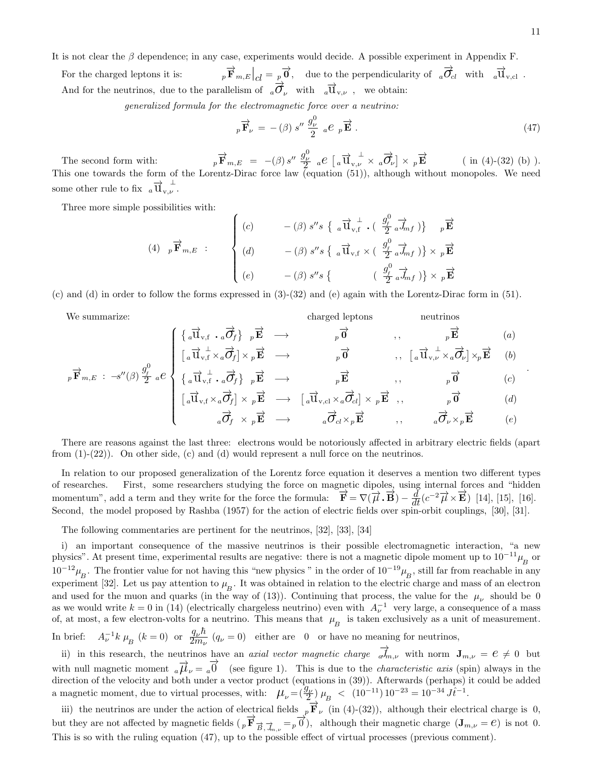It is not clear the  $\beta$  dependence; in any case, experiments would decide. A possible experiment in Appendix F.

For the charged leptons it is:  $\overrightarrow{\mathbf{F}}_{m,E}\Big|_{cl} = p\overrightarrow{\mathbf{0}}, \quad \text{due to the perpendicularity of} \quad a\overrightarrow{\mathbf{0}}_{cl} \quad \text{with} \quad a\overrightarrow{\mathbf{U}}_{v,cl} .$ And for the neutrinos, due to the parallelism of  $_{a}\overrightarrow{O}_{\nu}$  with  $_{a}\overrightarrow{U}_{v,\nu}$ , we obtain:

generalized formula for the electromagnetic force over a neutrino:

$$
{}_{p}\overrightarrow{\mathbf{F}}_{\nu} = -(\beta) s'' \frac{g_{\nu}^{0}}{2} a e_{p} \overrightarrow{\mathbf{E}}.
$$
 (47)

 $\Omega$ 

The second form with:  $p\vec{F}_{m,E} = -(\beta) s'' \frac{g_{\nu}^0}{2} a e \left[ a \vec{u}_{v,\nu}^{\perp} \times a \vec{\sigma}_{\nu} \right] \times p \vec{E}$  (in (4)-(32) (b) ). This one towards the form of the Lorentz-Dirac force law (equation (51)), although without monopoles. We need some other rule to fix  $_{a}\overrightarrow{u}_{v,\nu}^{\perp}$ .

Three more simple possibilities with:

$$
(4) \quad p\overrightarrow{\mathbf{F}}_{m,E} : \qquad \begin{cases} \begin{array}{ccc} (c) & -\left(\beta\right)s^{\prime\prime}s\left\{\begin{array}{c} \frac{\partial}{\partial\mathbf{F}}\downarrow\mathbf{F} & \frac{\partial}{\partial\mathbf{F}}\downarrow\mathbf{F}\end{array}\right\} & p\overrightarrow{\mathbf{E}} \\ \begin{array}{ccc} (d) & -\left(\beta\right)s^{\prime\prime}s\left\{\begin{array}{c} \frac{\partial}{\partial\mathbf{F}}\downarrow\mathbf{F} & \frac{\partial}{\partial\mathbf{F}}\end{array}\right\} & \times p\overrightarrow{\mathbf{E}} \\ \begin{array}{ccc} (e) & -\left(\beta\right)s^{\prime\prime}s\left\{\begin{array}{c} \frac{\partial}{\partial\mathbf{F}}\downarrow\mathbf{F} & \frac{\partial}{\partial\mathbf{F}}\end{array}\right\} & \times p\overrightarrow{\mathbf{E}} \end{array} \end{cases}
$$

(c) and (d) in order to follow the forms expressed in (3)-(32) and (e) again with the Lorentz-Dirac form in (51).

 $p \cdot$ 

We summarize: charged leptons neutrinos a −→<sup>u</sup> v,f . <sup>a</sup> −→σf p −→<sup>E</sup> −→ <sup>p</sup> −→<sup>0</sup> , , <sup>p</sup> −→<sup>E</sup> (a) a −→u v,f ⊥ ×<sup>a</sup> −→σf × <sup>p</sup> −→<sup>E</sup> −→ <sup>p</sup> −→<sup>0</sup> , , a −→u v,<sup>ν</sup> ⊥ ×<sup>a</sup> −→σν ×p −→<sup>E</sup> (b)

$$
\overrightarrow{\mathbf{F}}_{m,E} : -s''(\beta) \frac{g_{f}^{0}}{2} a e \begin{cases} \frac{1}{a \overrightarrow{\mathbf{u}}_{\mathbf{v},f} \cdot a \overrightarrow{\mathbf{G}}_{f} & p \overrightarrow{\mathbf{E}} \rightarrow \\ \frac{1}{a \overrightarrow{\mathbf{u}}_{\mathbf{v},f} \times a \overrightarrow{\mathbf{G}}_{f} \times p \overrightarrow{\mathbf{E}} \rightarrow \frac{1}{a \overrightarrow{\mathbf{u}}_{\mathbf{v},cl} \times a \overrightarrow{\mathbf{G}}_{cl} \times p \overrightarrow{\mathbf{E}} \rightarrow \\ & \frac{1}{a \overrightarrow{\mathbf{G}}_{f} \times p \overrightarrow{\mathbf{E}} \rightarrow \frac{1}{a \overrightarrow{\mathbf{G}}_{cl} \times p \overrightarrow{\mathbf{E}} \rightarrow \frac{1}{a \overrightarrow{\mathbf{G}}_{cl} \times p \overrightarrow{\mathbf{E}} \rightarrow \frac{1}{a \overrightarrow{\mathbf{G}}_{p} \times p \overrightarrow{\mathbf{E}} \end{cases} (c)
$$

$$
\begin{array}{ccccccc}\n[a\mathbf{u}_{\mathbf{v},f} \times_a \mathbf{U}_f] \times_p \mathbf{E} & \longrightarrow & [a\mathbf{u}_{\mathbf{v},c1} \times_a \mathbf{U}_{c1}] \times_p \mathbf{E} & , & & p \mathbf{U} & & & & \\
& & & & & & & & \\
a\overrightarrow{O}_f & \times_p \overrightarrow{\mathbf{E}} & \longrightarrow & & & & & & \\
& & & & & & & & \\
\end{array}
$$

There are reasons against the last three: electrons would be notoriously affected in arbitrary electric fields (apart from  $(1)-(22)$ ). On other side, (c) and (d) would represent a null force on the neutrinos.

In relation to our proposed generalization of the Lorentz force equation it deserves a mention two different types of researches. First, some researchers studying the force on magnetic dipoles, using internal forces and "hidden momentum", add a term and they write for the force the formula:  $\vec{F} = \nabla(\vec{\mu} \cdot \vec{B}) - \frac{d}{dt}(c^{-2}\vec{\mu} \times \vec{E})$  [14], [15], [16]. Second, the model proposed by Rashba (1957) for the action of electric fields over spin-orbit couplings, [30], [31].

The following commentaries are pertinent for the neutrinos, [32], [33], [34]

i) an important consequence of the massive neutrinos is their possible electromagnetic interaction, "a new physics". At present time, experimental results are negative: there is not a magnetic dipole moment up to  $10^{-11}\mu_B$  or  $10^{-12}\mu_B^{}$ . The frontier value for not having this "new physics " in the order of  $10^{-19}\mu_B^{}$ , still far from reachable in any experiment [32]. Let us pay attention to  $\mu_B$ . It was obtained in relation to the electric charge and mass of an electron and used for the muon and quarks (in the way of (13)). Continuing that process, the value for the  $\mu_{\nu}$  should be 0 as we would write  $k = 0$  in (14) (electrically chargeless neutrino) even with  $A_{\nu}^{-1}$  very large, a consequence of a mass of, at most, a few electron-volts for a neutrino. This means that  $\mu_B$  is taken exclusively as a unit of measurement. In brief: <sup>-1</sup>k  $\mu_B$  (k = 0) or  $\frac{q_\nu \hbar}{2m_\nu}$  (q<sub>v</sub> = 0) either are 0 or have no meaning for neutrinos,

ii) in this research, the neutrinos have an *axial vector magnetic charge*  $\overrightarrow{a}_{m,\nu}$  with norm  $J_{m,\nu} = e \neq 0$  but with null magnetic moment  $_{a}\vec{\mu}_{\nu} = _{a}\vec{0}$  (see figure 1). This is due to the *characteristic axis* (spin) always in the direction of the velocity and both under a vector product (equations in (39)). Afterwards (perhaps) it could be added a magnetic moment, due to virtual processes, with:  $\mu_{\nu} = (\frac{g_{\nu}}{2}) \mu_{B} < (10^{-11}) 10^{-23} = 10^{-34} J \hat{t}^{-1}$ .

iii) the neutrinos are under the action of electrical fields  $p\overrightarrow{F}_\nu$  (in (4)-(32)), although their electrical charge is 0, but they are not affected by magnetic fields  $(p \overrightarrow{F}_{\overrightarrow{B}, \overrightarrow{J}_{m,\nu}} = p \overrightarrow{0})$ , although their magnetic charge  $(J_{m,\nu} = e)$  is not 0. This is so with the ruling equation (47), up to the possible effect of virtual processes (previous comment).

.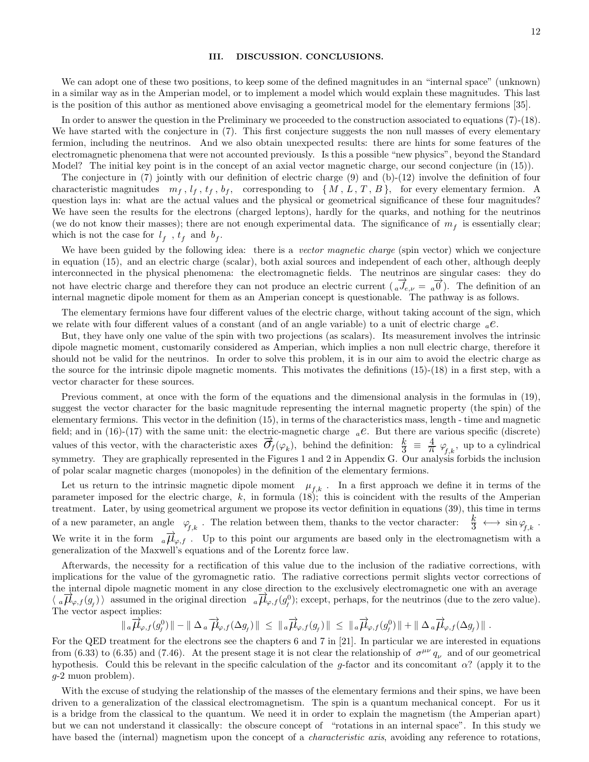#### III. DISCUSSION. CONCLUSIONS.

We can adopt one of these two positions, to keep some of the defined magnitudes in an "internal space" (unknown) in a similar way as in the Amperian model, or to implement a model which would explain these magnitudes. This last is the position of this author as mentioned above envisaging a geometrical model for the elementary fermions [35].

In order to answer the question in the Preliminary we proceeded to the construction associated to equations (7)-(18). We have started with the conjecture in (7). This first conjecture suggests the non null masses of every elementary fermion, including the neutrinos. And we also obtain unexpected results: there are hints for some features of the electromagnetic phenomena that were not accounted previously. Is this a possible "new physics", beyond the Standard Model? The initial key point is in the concept of an axial vector magnetic charge, our second conjecture (in (15)).

The conjecture in (7) jointly with our definition of electric charge (9) and (b)-(12) involve the definition of four characteristic magnitudes  $m_f$ ,  $l_f$ ,  $t_f$ ,  $b_f$ , corresponding to  $\{M, L, T, B\}$ , for every elementary fermion. A question lays in: what are the actual values and the physical or geometrical significance of these four magnitudes? We have seen the results for the electrons (charged leptons), hardly for the quarks, and nothing for the neutrinos (we do not know their masses); there are not enough experimental data. The significance of  $m_f$  is essentially clear; which is not the case for  $l_f$ ,  $t_f$  and  $b_f$ .

We have been guided by the following idea: there is a *vector magnetic charge* (spin vector) which we conjecture in equation (15), and an electric charge (scalar), both axial sources and independent of each other, although deeply interconnected in the physical phenomena: the electromagnetic fields. The neutrinos are singular cases: they do not have electric charge and therefore they can not produce an electric current  $(a\vec{J}_{e,\nu} = a\vec{0})$ . The definition of an internal magnetic dipole moment for them as an Amperian concept is questionable. The pathway is as follows.

The elementary fermions have four different values of the electric charge, without taking account of the sign, which we relate with four different values of a constant (and of an angle variable) to a unit of electric charge  ${}_{a}e$ .

But, they have only one value of the spin with two projections (as scalars). Its measurement involves the intrinsic dipole magnetic moment, customarily considered as Amperian, which implies a non null electric charge, therefore it should not be valid for the neutrinos. In order to solve this problem, it is in our aim to avoid the electric charge as the source for the intrinsic dipole magnetic moments. This motivates the definitions (15)-(18) in a first step, with a vector character for these sources.

Previous comment, at once with the form of the equations and the dimensional analysis in the formulas in (19), suggest the vector character for the basic magnitude representing the internal magnetic property (the spin) of the elementary fermions. This vector in the definition (15), in terms of the characteristics mass, length - time and magnetic field; and in (16)-(17) with the same unit: the electric-magnetic charge  ${}_{a}e$ . But there are various specific (discrete) values of this vector, with the characteristic axes  $\vec{\sigma}_f(\varphi_k)$ , behind the definition:  $\frac{k}{3} = \frac{4}{\pi} \varphi_{f,k}$ , up to a cylindrical symmetry. They are graphically represented in the Figures 1 and 2 in Appendix G. Our analysis forbids the inclusion of polar scalar magnetic charges (monopoles) in the definition of the elementary fermions.

Let us return to the intrinsic magnetic dipole moment  $\mu_{f,k}$ . In a first approach we define it in terms of the parameter imposed for the electric charge,  $k$ , in formula (18); this is coincident with the results of the Amperian treatment. Later, by using geometrical argument we propose its vector definition in equations (39), this time in terms of a new parameter, an angle  $\varphi_{f,k}$ . The relation between them, thanks to the vector character:  $\frac{k}{3} \leftrightarrow \sin \varphi_{f,k}$ . We write it in the form  $_{a}\overrightarrow{\mu}_{\varphi,f}$ . Up to this point our arguments are based only in the electromagnetism with a generalization of the Maxwell's equations and of the Lorentz force law.

Afterwards, the necessity for a rectification of this value due to the inclusion of the radiative corrections, with implications for the value of the gyromagnetic ratio. The radiative corrections permit slights vector corrections of the internal dipole magnetic moment in any close direction to the exclusively electromagnetic one with an average  $\langle \overline{d} \vec{\mu}_{\varphi,f}(g_f) \rangle$  assumed in the original direction  $\overline{d} \vec{\mu}_{\varphi,f}(g_f^0)$ ; except, perhaps, for the neutrinos (due to the zero value). The vector aspect implies:<br> $\|\begin{array}{c} \parallel_a \overrightarrow{\mu}_{\varphi,f}(g) \end{array}$ 

$$
\|\,_{a}\overrightarrow{\mu}_{\varphi,f}(g_{_{f}}^{0})\,\| - \|\,\Delta_{a}\overrightarrow{\mu}_{\varphi,f}(\Delta g_{_{f}})\,\| \,\leq\, \|\,_{a}\overrightarrow{\mu}_{\varphi,f}(g_{_{f}})\,\| \,\leq\, \|\,_{a}\overrightarrow{\mu}_{\varphi,f}(g_{_{f}}^{0})\,\| + \|\,\Delta_{a}\overrightarrow{\mu}_{\varphi,f}(\Delta g_{_{f}})\,\| \,.
$$

For the QED treatment for the electrons see the chapters 6 and 7 in [21]. In particular we are interested in equations from (6.33) to (6.35) and (7.46). At the present stage it is not clear the relationship of  $\sigma^{\mu\nu} q_{\nu}$  and of our geometrical hypothesis. Could this be relevant in the specific calculation of the g-factor and its concomitant  $\alpha$ ? (apply it to the g-2 muon problem).

With the excuse of studying the relationship of the masses of the elementary fermions and their spins, we have been driven to a generalization of the classical electromagnetism. The spin is a quantum mechanical concept. For us it is a bridge from the classical to the quantum. We need it in order to explain the magnetism (the Amperian apart) but we can not understand it classically: the obscure concept of "rotations in an internal space". In this study we have based the (internal) magnetism upon the concept of a *characteristic axis*, avoiding any reference to rotations,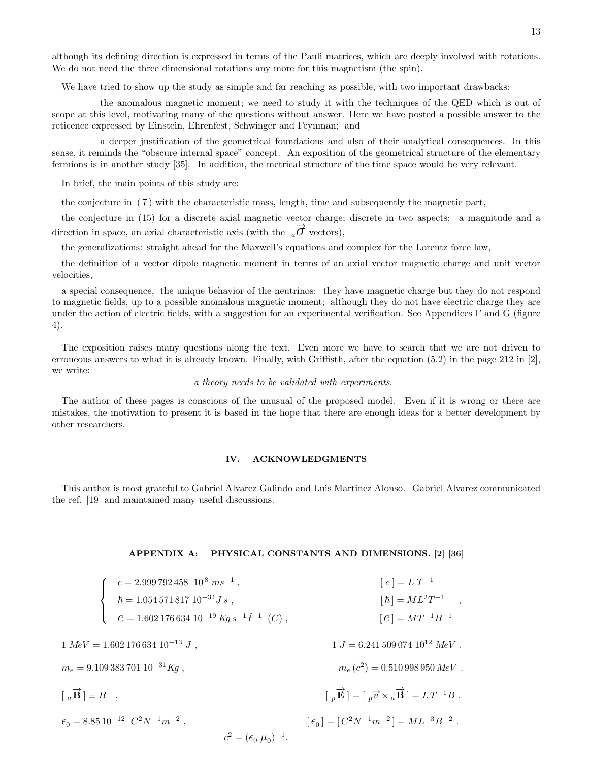although its defining direction is expressed in terms of the Pauli matrices, which are deeply involved with rotations. We do not need the three dimensional rotations any more for this magnetism (the spin).

We have tried to show up the study as simple and far reaching as possible, with two important drawbacks:

the anomalous magnetic moment; we need to study it with the techniques of the QED which is out of scope at this level, motivating many of the questions without answer. Here we have posted a possible answer to the reticence expressed by Einstein, Ehrenfest, Schwinger and Feynman; and

a deeper justification of the geometrical foundations and also of their analytical consequences. In this sense, it reminds the "obscure internal space" concept. An exposition of the geometrical structure of the elementary fermions is in another study [35]. In addition, the metrical structure of the time space would be very relevant.

In brief, the main points of this study are:

the conjecture in ( 7 ) with the characteristic mass, length, time and subsequently the magnetic part,

the conjecture in (15) for a discrete axial magnetic vector charge; discrete in two aspects: a magnitude and a direction in space, an axial characteristic axis (with the  $_{a}\overrightarrow{\sigma}$  vectors),

the generalizations: straight ahead for the Maxwell's equations and complex for the Lorentz force law,

the definition of a vector dipole magnetic moment in terms of an axial vector magnetic charge and unit vector velocities,

a special consequence, the unique behavior of the neutrinos: they have magnetic charge but they do not respond to magnetic fields, up to a possible anomalous magnetic moment; although they do not have electric charge they are under the action of electric fields, with a suggestion for an experimental verification. See Appendices F and G (figure 4).

The exposition raises many questions along the text. Even more we have to search that we are not driven to erroneous answers to what it is already known. Finally, with Griffisth, after the equation (5.2) in the page 212 in [2], we write:

#### a theory needs to be validated with experiments.

The author of these pages is conscious of the unusual of the proposed model. Even if it is wrong or there are mistakes, the motivation to present it is based in the hope that there are enough ideas for a better development by other researchers.

### IV. ACKNOWLEDGMENTS

This author is most grateful to Gabriel Alvarez Galindo and Luis Martinez Alonso. Gabriel Alvarez communicated the ref. [19] and maintained many useful discussions.

# APPENDIX A: PHYSICAL CONSTANTS AND DIMENSIONS. [2] [36]

| $\left\{ \begin{array}{ll} c=2.999\,792\,458\  \  10^{\,8}\;ms^{-1}\; ,\\[1mm] \hbar=1.054\,571\,817\,10^{-34}J\,s\; ,\\[1mm] e=1.602\,176\,634\,10^{-19}\,Kg\,s^{-1}\,\hat t^{-1}\;\; (C)\; , \end{array} \right.$ | $[c] = L T^{-1}$                                                                                                                                     |
|---------------------------------------------------------------------------------------------------------------------------------------------------------------------------------------------------------------------|------------------------------------------------------------------------------------------------------------------------------------------------------|
|                                                                                                                                                                                                                     | $[\hbar] = ML^2T^{-1}$ .                                                                                                                             |
|                                                                                                                                                                                                                     | $ e  = MT^{-1}B^{-1}$                                                                                                                                |
| $1 MeV = 1.602 176 634 10^{-13} J$ ,                                                                                                                                                                                | $1 J = 6.241 509 074 10^{12} MeV$ .                                                                                                                  |
| $m_e = 9.109\,383\,701\,10^{-31}Kg$ ,                                                                                                                                                                               | $m_e (c^2) = 0.510\,998\,950\,MeV$ .                                                                                                                 |
| $[a\overrightarrow{B}] \equiv B$ ,                                                                                                                                                                                  | $\begin{bmatrix} p \ \overrightarrow{E} \end{bmatrix} = \begin{bmatrix} p \overrightarrow{v} \times q \overrightarrow{B} \end{bmatrix} = LT^{-1}B$ . |
| $\epsilon_0 = 8.85 10^{-12} C^2 N^{-1} m^{-2}$ ,                                                                                                                                                                    | $\lceil \epsilon_0 \rceil = \lceil C^2 N^{-1} m^{-2} \rceil = ML^{-3} B^{-2}$ .                                                                      |
| $c^2 = (\epsilon_0 \mu_0)^{-1}.$                                                                                                                                                                                    |                                                                                                                                                      |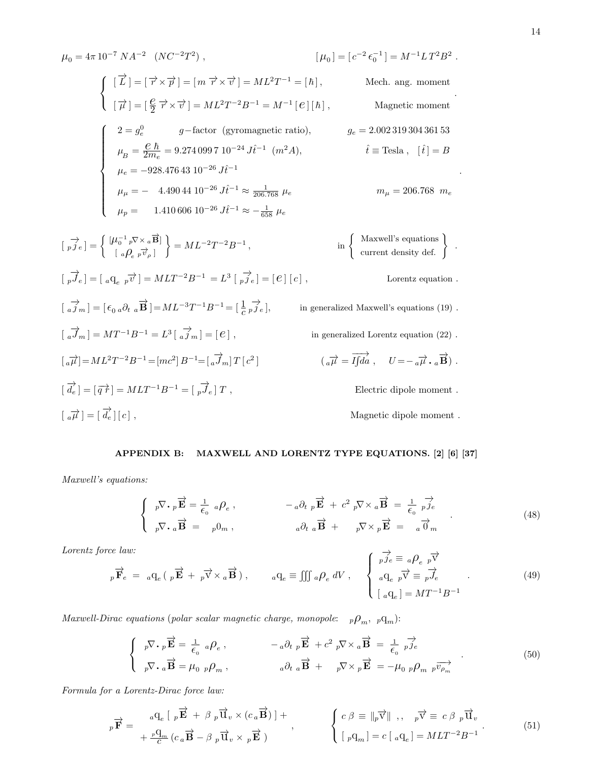$$
\mu_0 = 4\pi 10^{-7} N A^{-2} (NC^{-2}T^2), \qquad [\mu_0] = [c^{-2} \epsilon_0^{-1}] = M^{-1} L T^2 B^2.
$$
  
\n
$$
\begin{cases}\n[\overrightarrow{L}] = [\overrightarrow{\tau} \times \overrightarrow{\tau}] = [m \overrightarrow{\tau} \times \overrightarrow{\tau}] = ML^2 T^{-1} = [\hbar], \qquad \text{Mech. ang. moment} \\
[\overrightarrow{\mu}] = [\frac{e}{2} \overrightarrow{\tau} \times \overrightarrow{\tau}] = ML^2 T^{-2} B^{-1} = M^{-1} [e][\hbar], \qquad \text{Magnetic moment}\n\end{cases}
$$
  
\n
$$
\begin{cases}\n2 = g_e^0 \qquad g - \text{factor (gyromagnetic ratio)}, \qquad g_e = 2.00231930436153 \\
\mu_B = \frac{e}{2m_e} = 9.2740997 10^{-24} J \hat{t}^{-1} (m^2 A), \qquad \hat{t} \equiv \text{ Tesla}, [\hat{t}] = B \\
\mu_e = -928.47643 10^{-26} J \hat{t}^{-1} \approx \frac{1}{206.768} \mu_e \qquad m_\mu = 206.768 \ m_e\n\end{cases}
$$
  
\n
$$
[\vec{r} \rightarrow e] = \begin{cases}\n[\mu_0^{-1} {}_p \nabla \times {}_a \overrightarrow{B}] \\
[ a \rho_e {}_p \overrightarrow{\tau}_\rho ]\n\end{cases} = ML^{-2} T^{-2} B^{-1}, \qquad \text{in } \begin{cases}\n\text{Maxwell's equations} \\
\text{current density def.} \\
\text{current density def.}\n\end{cases}.
$$
  
\n
$$
[\vec{r} \rightarrow e] = [\alpha q_e {}_p \vec{r} ] = ML T^{-2} B^{-1} = L^3 [\vec{r} J_e] = [e][c], \qquad \text{Lorentz equation.}
$$
  
\n
$$
[\vec{a} \rightarrow m] = [\epsilon_0 {}_a \partial_t {}_a \overrightarrow{B}] = ML^{-3} T^{-1} B^{-1} = [\frac{1}{c} {}_p \vec{f}_e], \qquad \text{in generalized Maxwell's equations (19).}
$$
  
\n
$$
[\vec{a} \rightarrow m] = ML^{-1} B^{-1} = L^3 [\vec{a} \rightarrow m] = [e], \
$$

# APPENDIX B: MAXWELL AND LORENTZ TYPE EQUATIONS. [2] [6] [37]

Maxwell's equations:

$$
\begin{cases}\n\bar{p}\nabla \cdot \bar{p}\vec{E} = \frac{1}{\epsilon_0} a\rho_e, & -a\partial_t \bar{p}\vec{E} + c^2 \bar{p}\nabla \times a\vec{B} = \frac{1}{\epsilon_0} \vec{p}j_e \\
\bar{p}\nabla \cdot a\vec{B} = p0_m, & a\partial_t a\vec{B} + p\nabla \times p\vec{E} = a\vec{0}_m\n\end{cases} (48)
$$

Lorentz force law:

$$
{}_{p}\overrightarrow{\mathbf{F}}_{e} = {}_{a}\mathbf{q}_{e} \left( \, {}_{p}\overrightarrow{\mathbf{E}} + {}_{p}\overrightarrow{\mathbf{v}} \times {}_{a}\overrightarrow{\mathbf{B}} \right), \qquad {}_{a}\mathbf{q}_{e} \equiv \iiint {}_{a}\rho_{e} dV , \qquad \begin{cases} \overrightarrow{p}{}_{e} \equiv {}_{a}\rho_{e} {}_{p}\overrightarrow{\mathbf{v}} \\ {}_{a}\mathbf{q}_{e} {}_{p}\overrightarrow{\mathbf{v}} \equiv {}_{p}\overrightarrow{\mathbf{J}}_{e} \\ {}_{a}\mathbf{q}_{e} \mid = M T^{-1} B^{-1} \end{cases} \qquad (49)
$$

 $Maxwell-Dirac \ equations \ (polar \ scalar \ magnetic \ charge, \ monopole: \quad {}_p\mathcal{O}_m, \ {}_p\mathbf{q}_m).$ 

$$
\begin{cases}\n\bar{p}\nabla \cdot \vec{p} \cdot \vec{E} = \frac{1}{\epsilon_0} a \rho_e, & -a \partial_t \vec{p} \cdot \vec{E} + c^2 \vec{p} \nabla \times a \vec{B} = \frac{1}{\epsilon_0} \vec{p} \vec{j}_e \\
\bar{p}\nabla \cdot a \vec{B} = \mu_0 \vec{p} \rho_m, & a \partial_t \vec{B} + \vec{p} \nabla \times \vec{p} \vec{E} = -\mu_0 \vec{p} \rho_m \vec{p} \vec{v}_{\rho_m}\n\end{cases} (50)
$$

Formula for a Lorentz-Dirac force law:

$$
{}_{p}\overrightarrow{\mathbf{F}} = \begin{array}{c} {}_{a}\mathbf{q}_{e} \left[ \begin{array}{c} {}_{p}\overrightarrow{\mathbf{E}} + \beta \begin{array}{c} {}_{p}\overrightarrow{\mathbf{u}}_{v} \times (c_{a}\overrightarrow{\mathbf{B}}) \end{array} \right] + \\ {}_{+} \frac{{}_{p}\mathbf{q}_{m}}{c} (c_{a}\overrightarrow{\mathbf{B}} - \beta \begin{array}{c} {}_{p}\overrightarrow{\mathbf{u}}_{v} \times {}_{p}\overrightarrow{\mathbf{E}} \end{array}) \end{array}, \qquad \begin{cases} c \ \beta \equiv \|\overrightarrow{p}\overrightarrow{\mathbf{v}}\| \ , \quad {}_{p}\overrightarrow{\mathbf{v}} \equiv c \ \beta \begin{array}{c} {}_{p}\overrightarrow{\mathbf{u}}_{v} \end{array}. \end{array} \tag{51}
$$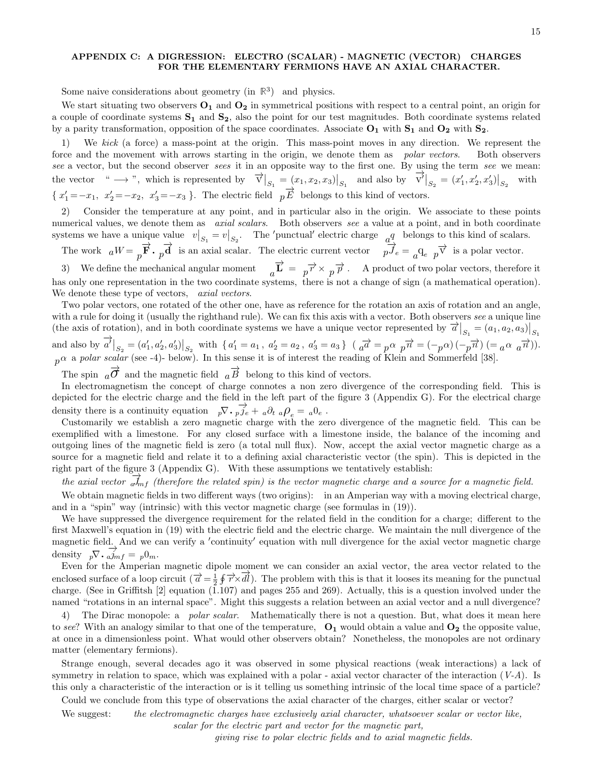# APPENDIX C: A DIGRESSION: ELECTRO (SCALAR) - MAGNETIC (VECTOR) CHARGES FOR THE ELEMENTARY FERMIONS HAVE AN AXIAL CHARACTER.

Some naive considerations about geometry (in  $\mathbb{R}^3$ ) and physics.

We start situating two observers  $O_1$  and  $O_2$  in symmetrical positions with respect to a central point, an origin for a couple of coordinate systems  $S_1$  and  $S_2$ , also the point for our test magnitudes. Both coordinate systems related by a parity transformation, opposition of the space coordinates. Associate  $O_1$  with  $S_1$  and  $O_2$  with  $S_2$ .

1) We kick (a force) a mass-point at the origin. This mass-point moves in any direction. We represent the force and the movement with arrows starting in the origin, we denote them as *polar vectors*. Both observers see a vector, but the second observer sees it in an opposite way to the first one. By using the term see we mean: the vector " → ", which is represented by  $\vec{v}|_{S_1} = (x_1, x_2, x_3)|_{S_1}$  and also by  $\vec{v'}|_{S_2} = (x'_1, x'_2, x'_3)|_{S_2}$ with  $\{x_1'=-x_1, x_2'=-x_2, x_3'=-x_3\}$ . The electric field  $p\overrightarrow{E}$  belongs to this kind of vectors.

2) Consider the temperature at any point, and in particular also in the origin. We associate to these points numerical values, we denote them as *axial scalars*. Both observers see a value at a point, and in both coordinate systems we have a unique value  $v|_{S_1} = v|_{S_2}$ . The 'punctual' electric charge  $\frac{q}{d}$  belongs to this kind of scalars.

The work  $aW = p\vec{F} \cdot p\vec{d}$  is an axial scalar. The electric current vector  $p\vec{J}_e = a\theta_e$   $p\vec{V}$  is a polar vector.

3) We define the mechanical angular moment  $a\vec{L} = p\vec{r} \times p\vec{p}$ . A product of two polar vectors, therefore it has only one representation in the two coordinate systems, there is not a change of sign (a mathematical operation). We denote these type of vectors, *axial vectors*.

Two polar vectors, one rotated of the other one, have as reference for the rotation an axis of rotation and an angle, with a rule for doing it (usually the righthand rule). We can fix this axis with a vector. Both observers see a unique line (the axis of rotation), and in both coordinate systems we have a unique vector represented by  $\vec{a}|_{S_1} = (a_1, a_2, a_3)|_{S_1}$ and also by  $\overrightarrow{a'}|_{S_2} = (a'_1, a'_2, a'_3)|_{S_2}$  with  $\{a'_1 = a_1, a'_2 = a_2, a'_3 = a_3\}$   $(a \overrightarrow{a} = p\alpha p\overrightarrow{n} = (-p\alpha)(-\overrightarrow{p}\overrightarrow{n}) (= a\alpha a\overrightarrow{n})).$  $p^{\alpha}$  a polar scalar (see -4)- below). In this sense it is of interest the reading of Klein and Sommerfeld [38].

The spin  $\overrightarrow{a}$  and the magnetic field  $\overrightarrow{a}$  belong to this kind of vectors.

In electromagnetism the concept of charge connotes a non zero divergence of the corresponding field. This is depicted for the electric charge and the field in the left part of the figure 3 (Appendix G). For the electrical charge density there is a continuity equation  $p\nabla \cdot p \vec{j}_e + a\partial_t a \rho_e = a_0 e$ .

Customarily we establish a zero magnetic charge with the zero divergence of the magnetic field. This can be exemplified with a limestone. For any closed surface with a limestone inside, the balance of the incoming and outgoing lines of the magnetic field is zero (a total null flux). Now, accept the axial vector magnetic charge as a source for a magnetic field and relate it to a defining axial characteristic vector (the spin). This is depicted in the right part of the figure 3 (Appendix G). With these assumptions we tentatively establish:

the axial vector  $\frac{1}{a}$  (therefore the related spin) is the vector magnetic charge and a source for a magnetic field.

We obtain magnetic fields in two different ways (two origins): in an Amperian way with a moving electrical charge, and in a "spin" way (intrinsic) with this vector magnetic charge (see formulas in (19)).

We have suppressed the divergence requirement for the related field in the condition for a charge; different to the first Maxwell's equation in (19) with the electric field and the electric charge. We maintain the null divergence of the magnetic field. And we can verify a 'continuity' equation with null divergence for the axial vector magnetic charge density  $_p\nabla \cdot \overrightarrow{a}_{m}f = p0_m$ .

Even for the Amperian magnetic dipole moment we can consider an axial vector, the area vector related to the enclosed surface of a loop circuit  $(\vec{a} = \frac{1}{2} \oint \vec{r} \times \vec{dl})$ . The problem with this is that it looses its meaning for the punctual charge. (See in Griffitsh [2] equation (1.107) and pages 255 and 269). Actually, this is a question involved under the named "rotations in an internal space". Might this suggests a relation between an axial vector and a null divergence?

4) The Dirac monopole: a *polar scalar*. Mathematically there is not a question. But, what does it mean here to see? With an analogy similar to that one of the temperature,  $O_1$  would obtain a value and  $O_2$  the opposite value, at once in a dimensionless point. What would other observers obtain? Nonetheless, the monopoles are not ordinary matter (elementary fermions).

Strange enough, several decades ago it was observed in some physical reactions (weak interactions) a lack of symmetry in relation to space, which was explained with a polar - axial vector character of the interaction  $(V-A)$ . Is this only a characteristic of the interaction or is it telling us something intrinsic of the local time space of a particle?

Could we conclude from this type of observations the axial character of the charges, either scalar or vector?

We suggest: the electromagnetic charges have exclusively axial character, whatsoever scalar or vector like, scalar for the electric part and vector for the magnetic part,

giving rise to polar electric fields and to axial magnetic fields.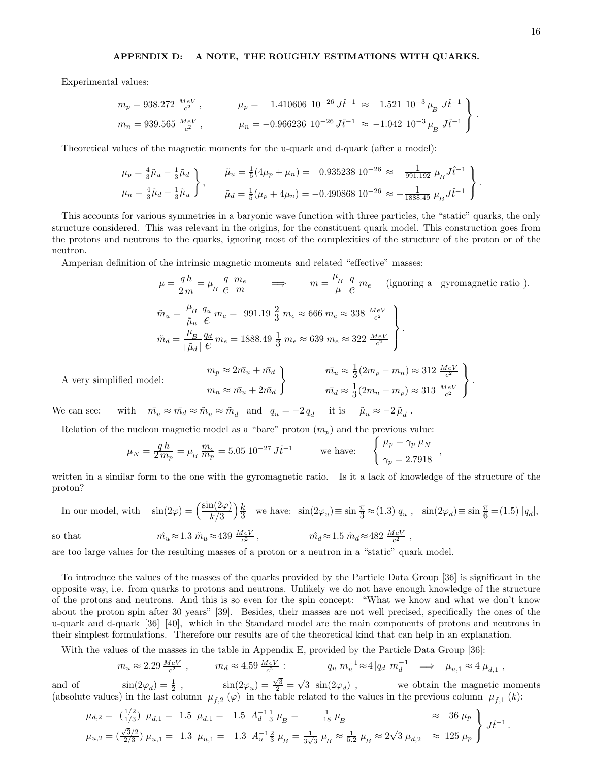Experimental values:

$$
m_p = 938.272 \frac{MeV}{c^2}, \qquad \mu_p = 1.410606 \ 10^{-26} \ J \hat{t}^{-1} \approx 1.521 \ 10^{-3} \ \mu_B \ J \hat{t}^{-1}
$$

$$
m_n = 939.565 \ \frac{MeV}{c^2}, \qquad \mu_n = -0.966236 \ 10^{-26} \ J \hat{t}^{-1} \approx -1.042 \ 10^{-3} \ \mu_B \ J \hat{t}^{-1}
$$

Theoretical values of the magnetic moments for the u-quark and d-quark (after a model):

$$
\mu_p = \frac{4}{3}\tilde{\mu}_u - \frac{1}{3}\tilde{\mu}_d
$$
\n
$$
\mu_n = \frac{4}{3}\tilde{\mu}_d - \frac{1}{3}\tilde{\mu}_u
$$
\n
$$
\tilde{\mu}_u = \frac{1}{5}(4\mu_p + \mu_n) = 0.935238 \cdot 10^{-26} \approx \frac{1}{991.192} \mu_B J \hat{t}^{-1}
$$
\n
$$
\mu_n = \frac{4}{3}\tilde{\mu}_d - \frac{1}{3}\tilde{\mu}_u
$$
\n
$$
\tilde{\mu}_d = \frac{1}{5}(\mu_p + 4\mu_n) = -0.490868 \cdot 10^{-26} \approx -\frac{1}{1888.49} \mu_B J \hat{t}^{-1}
$$

This accounts for various symmetries in a baryonic wave function with three particles, the "static" quarks, the only structure considered. This was relevant in the origins, for the constituent quark model. This construction goes from the protons and neutrons to the quarks, ignoring most of the complexities of the structure of the proton or of the neutron.

Amperian definition of the intrinsic magnetic moments and related "effective" masses:

$$
\mu = \frac{q\,\hbar}{2\,m} = \mu_B \frac{q}{e} \frac{m_e}{m} \qquad \Longrightarrow \qquad m = \frac{\mu_B}{\mu} \frac{q}{e} \, m_e \qquad \text{(ignoring a gyromagnetic ratio)}.
$$
\n
$$
\tilde{m}_u = \frac{\mu_B}{\tilde{\mu}_u} \frac{q_u}{e} \, m_e = 991.19 \, \frac{2}{3} \, m_e \approx 666 \, m_e \approx 338 \, \frac{M_e V}{c^2}
$$
\n
$$
\tilde{m}_d = \frac{\mu_B}{|\tilde{\mu}_d|} \frac{q_d}{e} \, m_e = 1888.49 \, \frac{1}{3} \, m_e \approx 639 \, m_e \approx 322 \, \frac{M_e V}{c^2}
$$
\n
$$
m_p \approx 2m\bar{u}_u + m\bar{d}_d \qquad \qquad m\bar{u}_u \approx \frac{1}{3}(2m_p - m_n) \approx 312 \, \frac{M_e V}{c^2}
$$
\n
$$
m_n \approx m\bar{u}_u + 2m\bar{d}_d \qquad \qquad m\bar{d}_d \approx \frac{1}{3}(2m_n - m_p) \approx 313 \, \frac{M_e V}{c^2}
$$

,

We can see: with  $\bar{m}_u \approx \bar{m}_d \approx \tilde{m}_u \approx \tilde{m}_d$  and  $q_u = -2 q_d$  it is  $\tilde{\mu}_u \approx -2 \tilde{\mu}_d$ .

Relation of the nucleon magnetic model as a "bare" proton  $(m_p)$  and the previous value:

$$
\mu_N = \frac{q \hbar}{2 \, m_p} = \mu_B \, \frac{m_e}{m_p} = 5.05 \, 10^{-27} \, J \hat{t}^{-1} \qquad \text{we have:} \qquad \begin{cases} \mu_p = \gamma_p \, \mu_N \\ \gamma_p = 2.7918 \end{cases}
$$

written in a similar form to the one with the gyromagnetic ratio. Is it a lack of knowledge of the structure of the proton?

In our model, with  $\sin(2\varphi) = \frac{\sin(2\varphi)}{\hbar \sqrt{2}}$  $k/3$  $k$  $\frac{k}{3}$  we have:  $\sin(2\varphi_u) \equiv \sin\frac{\pi}{3} \approx (1.3) q_u$ ,  $\sin(2\varphi_d) \equiv \sin\frac{\pi}{6} = (1.5) |q_d|$ ,

so that 
$$
\hat{m_u} \approx 1.3 \ \tilde{m}_u \approx 439 \ \frac{MeV}{c^2} \ , \qquad \qquad \hat{m_d} \approx 1.5 \ \tilde{m}_d \approx 482 \ \frac{MeV}{c^2} \ ,
$$

are too large values for the resulting masses of a proton or a neutron in a "static" quark model.

To introduce the values of the masses of the quarks provided by the Particle Data Group [36] is significant in the opposite way, i.e. from quarks to protons and neutrons. Unlikely we do not have enough knowledge of the structure of the protons and neutrons. And this is so even for the spin concept: "What we know and what we don't know about the proton spin after 30 years" [39]. Besides, their masses are not well precised, specifically the ones of the u-quark and d-quark [36] [40], which in the Standard model are the main components of protons and neutrons in their simplest formulations. Therefore our results are of the theoretical kind that can help in an explanation.

With the values of the masses in the table in Appendix E, provided by the Particle Data Group [36]:

$$
m_u \approx 2.29 \frac{MeV}{c^2} , \qquad m_d \approx 4.59 \frac{MeV}{c^2} : \qquad q_u \, m_u^{-1} \approx 4 \, |q_d| \, m_d^{-1} \implies \mu_{u,1} \approx 4 \, \mu_{d,1} ,
$$

and of  $\sin(2\varphi_d) = \frac{1}{2}$ ,  $\sin(2\varphi_u) = \frac{\sqrt{3}}{2}$  $3 \sin(2\varphi_d)$ , we obtain the magnetic moments (absolute values) in the last column  $\mu_{f,2}(\varphi)$  in the table related to the values in the previous column  $\mu_{f,1}(k)$ :

$$
\mu_{d,2} = \left(\frac{1/2}{1/3}\right) \mu_{d,1} = 1.5 \mu_{d,1} = 1.5 \quad A_d^{-1} \frac{1}{3} \mu_B = \frac{1}{18} \mu_B \approx 36 \mu_P
$$
\n
$$
\mu_{u,2} = \left(\frac{\sqrt{3}/2}{2/3}\right) \mu_{u,1} = 1.3 \mu_{u,1} = 1.3 \quad A_u^{-1} \frac{2}{3} \mu_B = \frac{1}{3\sqrt{3}} \mu_B \approx \frac{1}{5.2} \mu_B \approx 2\sqrt{3} \mu_{d,2} \approx 125 \mu_P
$$
\n
$$
J\hat{t}^{-1}.
$$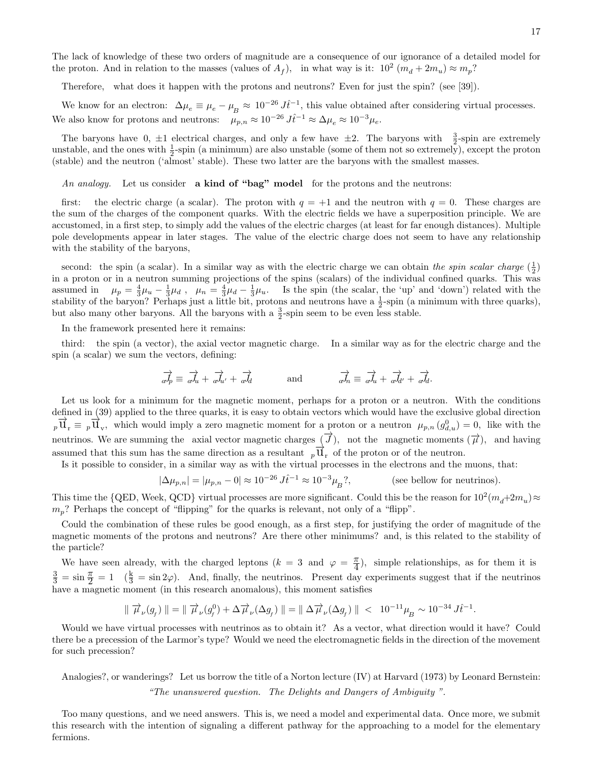The lack of knowledge of these two orders of magnitude are a consequence of our ignorance of a detailed model for the proton. And in relation to the masses (values of  $A_f$ ), in what way is it:  $10^2 (m_d + 2m_u) \approx m_p$ ?

Therefore, what does it happen with the protons and neutrons? Even for just the spin? (see [39]).

We know for an electron:  $\Delta \mu_e \equiv \mu_e - \mu_B \approx 10^{-26} J \hat{t}^{-1}$ , this value obtained after considering virtual processes. We also know for protons and neutrons:  $\mu_{p,n} \approx 10^{-26} J_t^2$   $\mu_{\varepsilon} \approx 10^{-3} \mu_e$ .

The baryons have  $0, \pm 1$  electrical charges, and only a few have  $\pm 2$ . The baryons with  $\frac{3}{2}$ -spin are extremely unstable, and the ones with  $\frac{1}{2}$ -spin (a minimum) are also unstable (some of them not so extremely), except the proton (stable) and the neutron ('almost' stable). These two latter are the baryons with the smallest masses.

An analogy. Let us consider a kind of "bag" model for the protons and the neutrons:

first: the electric charge (a scalar). The proton with  $q = +1$  and the neutron with  $q = 0$ . These charges are the sum of the charges of the component quarks. With the electric fields we have a superposition principle. We are accustomed, in a first step, to simply add the values of the electric charges (at least for far enough distances). Multiple pole developments appear in later stages. The value of the electric charge does not seem to have any relationship with the stability of the baryons,

second: the spin (a scalar). In a similar way as with the electric charge we can obtain the spin scalar charge  $(\frac{1}{2})$ in a proton or in a neutron summing projections of the spins (scalars) of the individual confined quarks. This was assumed in  $\mu_p = \frac{4}{3}\mu_u - \frac{1}{3}\mu_d$ ,  $\mu_n = \frac{4}{3}\mu_d - \frac{1}{3}\mu_u$ . Is the spin (the scalar, the 'up' and 'down') related with the stability of the baryon? Perhaps just a little bit, protons and neutrons have a  $\frac{1}{2}$ -spin (a minimum with three quarks), but also many other baryons. All the baryons with a  $\frac{3}{2}$ -spin seem to be even less stable.

In the framework presented here it remains:

third: the spin (a vector), the axial vector magnetic charge. In a similar way as for the electric charge and the spin (a scalar) we sum the vectors, defining:

$$
\overrightarrow{a'p} \equiv \overrightarrow{a'u} + \overrightarrow{a'u'} + \overrightarrow{a'd} \qquad \text{and} \qquad \overrightarrow{a'h} \equiv \overrightarrow{a'u} + \overrightarrow{a'd'} + \overrightarrow{a'd}.
$$

Let us look for a minimum for the magnetic moment, perhaps for a proton or a neutron. With the conditions defined in (39) applied to the three quarks, it is easy to obtain vectors which would have the exclusive global direction  $p\overrightarrow{\mathbf{u}}_r \equiv p\overrightarrow{\mathbf{u}}_v$ , which would imply a zero magnetic moment for a proton or a neutron  $\mu_{p,n}(g_{d,u}^0) = 0$ , like with the neutrinos. We are summing the axial vector magnetic charges  $(\vec{\mathcal{J}})$ , not the magnetic moments  $(\vec{\mathcal{\mu}})$ , and having assumed that this sum has the same direction as a resultant  $_p\overline{u}_r$  of the proton or of the neutron.

Is it possible to consider, in a similar way as with the virtual processes in the electrons and the muons, that:

$$
|\Delta \mu_{p,n}| = |\mu_{p,n} - 0| \approx 10^{-26} J \hat{t}^{-1} \approx 10^{-3} \mu_B^2,
$$
 (see below for neutrinos).

This time the {QED, Week, QCD} virtual processes are more significant. Could this be the reason for  $10^2(m_d+2m_u) \approx$  $m_p$ ? Perhaps the concept of "flipping" for the quarks is relevant, not only of a "flipp".

Could the combination of these rules be good enough, as a first step, for justifying the order of magnitude of the magnetic moments of the protons and neutrons? Are there other minimums? and, is this related to the stability of the particle?

We have seen already, with the charged leptons  $(k = 3 \text{ and } \varphi = \frac{\pi}{4})$  $\frac{\pi}{4}$ ), simple relationships, as for them it is  $\frac{3}{3} = \sin \frac{\pi}{2} = 1$  ( $\frac{k}{3} = \sin 2\varphi$ ). And, finally, the neutrinos. Present day experiments suggest that if the neutrinos have a magnetic moment (in this research anomalous), this moment satisfies

$$
\parallel \overrightarrow{\mu}_{\nu}(g_{_{\!f}})\parallel \, = \, \parallel \overrightarrow{\mu}_{\nu}(g_{_{\!f}}^0) \, + \, \Delta \overrightarrow{\mu}_{\nu}(\Delta g_{_{\!f}})\parallel \, = \, \parallel \Delta \overrightarrow{\mu}_{\nu}(\Delta g_{_{\!f}})\parallel \, < \, \Box 0^{-11}\mu_{_{\!B}} \sim \, 10^{-34}\,J \hat{t}^{-1}.
$$

Would we have virtual processes with neutrinos as to obtain it? As a vector, what direction would it have? Could there be a precession of the Larmor's type? Would we need the electromagnetic fields in the direction of the movement for such precession?

Analogies?, or wanderings? Let us borrow the title of a Norton lecture (IV) at Harvard (1973) by Leonard Bernstein:

"The unanswered question. The Delights and Dangers of Ambiguity ".

Too many questions, and we need answers. This is, we need a model and experimental data. Once more, we submit this research with the intention of signaling a different pathway for the approaching to a model for the elementary fermions.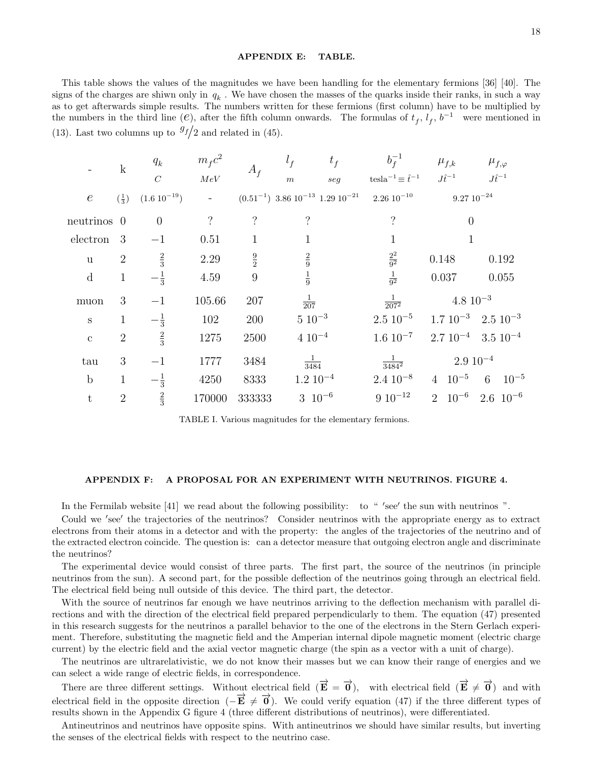#### APPENDIX E: TABLE.

This table shows the values of the magnitudes we have been handling for the elementary fermions [36] [40]. The signs of the charges are shiwn only in  $q_k$ . We have chosen the masses of the quarks inside their ranks, in such a way as to get afterwards simple results. The numbers written for these fermions (first column) have to be multiplied by the numbers in the third line ( $e$ ), after the fifth column onwards. The formulas of  $t_f$ ,  $l_f$ ,  $b^{-1}$  were mentioned in (13). Last two columns up to  $\frac{g_f}{2}$  and related in (45).

|                  | $\mathbf{k}$               | $q_k$<br>$\cal C$ | $m_f c^2$<br>$MeV$ | $A_f$              | $l_f$<br>$t_f$<br>seg<br>$\,m$                | $b_f^{-1}$<br>tesla <sup>-1</sup> $\equiv \hat{t}^{-1}$ | $\mu_{f,k}$<br>$J\hat{t}^{-1}$ | $\mu_{f,\varphi}$<br>$J\hat{t}^{-1}$ |
|------------------|----------------------------|-------------------|--------------------|--------------------|-----------------------------------------------|---------------------------------------------------------|--------------------------------|--------------------------------------|
| $\boldsymbol{e}$ | $\left(\frac{1}{3}\right)$ | $(1.6\ 10^{-19})$ | $\equiv$           |                    | $(0.51^{-1})$ 3.86 $10^{-13}$ 1.29 $10^{-21}$ | $2.26\ 10^{-10}$                                        | $9.27 \ 10^{-24}$              |                                      |
| neutrinos 0      |                            | $\overline{0}$    | $\tilde{?}$        | $\overline{\cdot}$ | $\overline{\mathcal{C}}$                      | $\overline{\mathcal{C}}$                                | $\overline{0}$                 |                                      |
| electron         | 3                          | $^{-1}$           | 0.51               | $\mathbf{1}$       | 1                                             | 1                                                       |                                |                                      |
| u                | $\overline{2}$             | $\frac{2}{3}$     | 2.29               | $\frac{9}{2}$      | $\frac{2}{9}$                                 | $\frac{2^2}{9^2}$                                       | 0.148                          | 0.192                                |
| $\mathbf d$      | $\mathbf{1}$               | $-\frac{1}{3}$    | 4.59               | $\boldsymbol{9}$   | $\frac{1}{9}$                                 | $\frac{1}{9^2}$                                         | 0.037                          | 0.055                                |
| muon             | 3                          | $-1$              | 105.66             | 207                | $rac{1}{207}$                                 | $\frac{1}{207^2}$                                       | $4.8\ 10^{-3}$                 |                                      |
| $\mathbf S$      | $\mathbf{1}$               | $-\frac{1}{3}$    | 102                | 200                | $5\ 10^{-3}$                                  | $2.5\ 10^{-5}$                                          |                                | $1.7 \ 10^{-3} \quad 2.5 \ 10^{-3}$  |
| $\mathbf{C}$     | $\overline{2}$             | $\frac{2}{3}$     | 1275               | 2500               | $4\ 10^{-4}$                                  | $1.6 \; 10^{-7}$                                        |                                | $2.7\ 10^{-4}$ $3.5\ 10^{-4}$        |
| tau              | 3                          | $^{-1}$           | 1777               | 3484               | $rac{1}{3484}$                                | $\frac{1}{3484^2}$                                      | $2.9\ 10^{-4}$                 |                                      |
| $\mathbf b$      | $\mathbf{1}$               | $-\frac{1}{3}$    | 4250               | 8333               | $1.2\ 10^{-4}$                                | $2.4~10^{-8}$                                           | $10^{-5}$<br>$\overline{4}$    | $10^{-5}$<br>6                       |
| t                | $\overline{2}$             | $\frac{2}{3}$     | 170000             | 333333             | $3 \ 10^{-6}$                                 | $9 \ 10^{-12}$                                          | $10^{-6}$<br>$\overline{2}$    | $2.6 \text{ } 10^{-6}$               |

TABLE I. Various magnitudes for the elementary fermions.

#### APPENDIX F: A PROPOSAL FOR AN EXPERIMENT WITH NEUTRINOS. FIGURE 4.

In the Fermilab website [41] we read about the following possibility: to " 'see' the sun with neutrinos ".

Could we 'see' the trajectories of the neutrinos? Consider neutrinos with the appropriate energy as to extract electrons from their atoms in a detector and with the property: the angles of the trajectories of the neutrino and of the extracted electron coincide. The question is: can a detector measure that outgoing electron angle and discriminate the neutrinos?

The experimental device would consist of three parts. The first part, the source of the neutrinos (in principle neutrinos from the sun). A second part, for the possible deflection of the neutrinos going through an electrical field. The electrical field being null outside of this device. The third part, the detector.

With the source of neutrinos far enough we have neutrinos arriving to the deflection mechanism with parallel directions and with the direction of the electrical field prepared perpendicularly to them. The equation (47) presented in this research suggests for the neutrinos a parallel behavior to the one of the electrons in the Stern Gerlach experiment. Therefore, substituting the magnetic field and the Amperian internal dipole magnetic moment (electric charge current) by the electric field and the axial vector magnetic charge (the spin as a vector with a unit of charge).

The neutrinos are ultrarelativistic, we do not know their masses but we can know their range of energies and we can select a wide range of electric fields, in correspondence.

There are three different settings. Without electrical field  $(\vec{E} = \vec{0})$ , with electrical field  $(\vec{E} \neq \vec{0})$  and with electrical field in the opposite direction  $(-\vec{E} \neq \vec{0})$ . We could verify equation (47) if the three different types of results shown in the Appendix G figure 4 (three different distributions of neutrinos), were differentiated.

Antineutrinos and neutrinos have opposite spins. With antineutrinos we should have similar results, but inverting the senses of the electrical fields with respect to the neutrino case.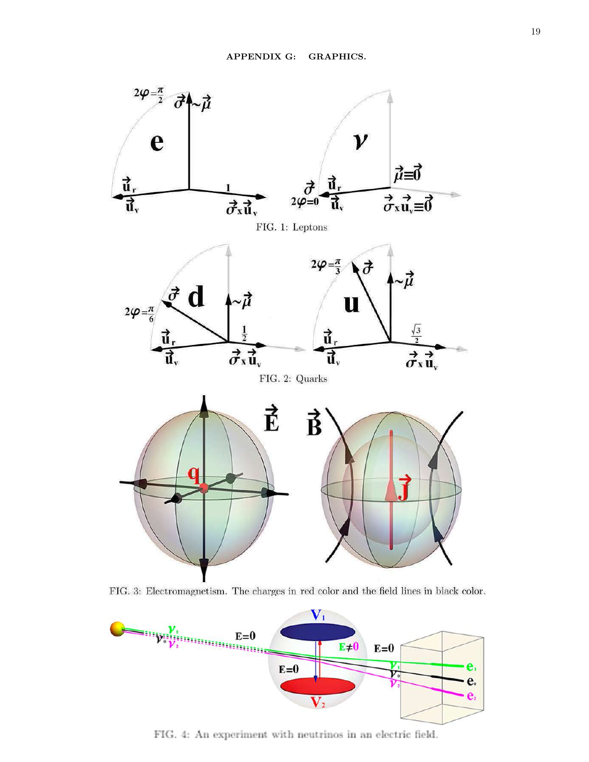

FIG. 3: Electromagnetism. The charges in red color and the field lines in black color.



FIG. 4: An experiment with neutrinos in an electric field.